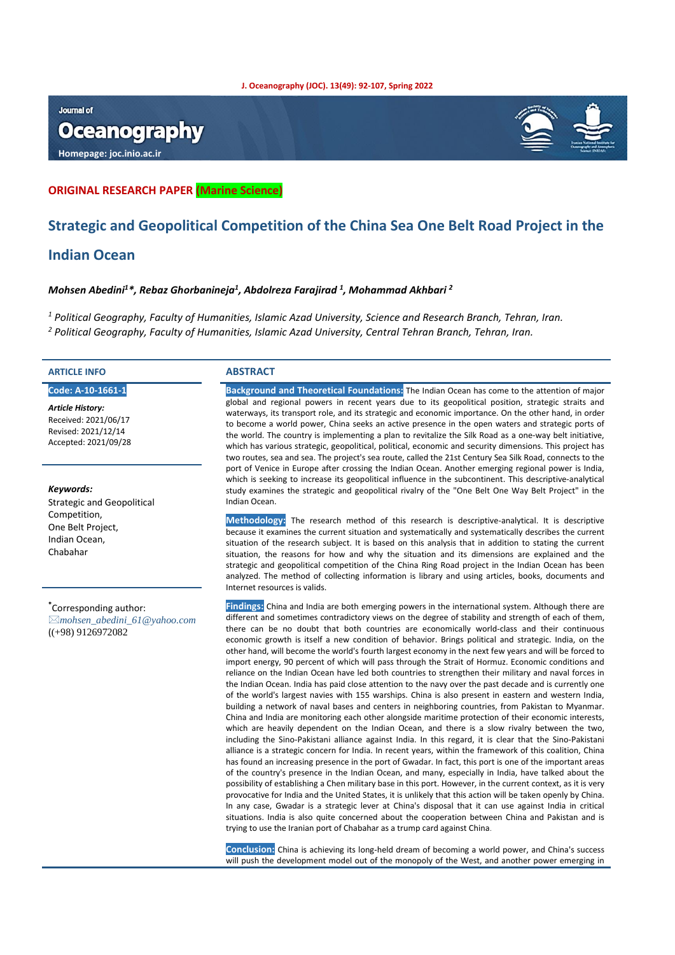#### **J. Oceanography (JOC). 13(49): 92-107, Spring 2022**

#### **Journal of**

# **Oceanography**

**Homepage: joc.inio.ac.ir**



#### **ORIGINAL RESEARCH PAPER (Marine Science)**

## **Strategic and Geopolitical Competition of the China Sea One Belt Road Project in the**

#### **Indian Ocean**

#### *Mohsen Abedini1 \*, Rebaz Ghorbanineja1 , Abdolreza Farajirad 1 , Mohammad Akhbari 2*

*<sup>1</sup> Political Geography, Faculty of Humanities, Islamic Azad University, Science and Research Branch, Tehran, Iran. <sup>2</sup> Political Geography, Faculty of Humanities, Islamic Azad University, Central Tehran Branch, Tehran, Iran.*

#### **ARTICLE INFO ABSTRACT**

**Code: A-10-1661-1**

*Article History:* Received: 2021/06/17 Revised: 2021/12/14 Accepted: 2021/09/28

#### *Keywords:*

Strategic and Geopolitical Competition, One Belt Project, Indian Ocean, Chabahar

**\*** Corresponding author: *mohsen\_abedini\_61@yahoo.com* ((+98) 9126972082

**Background and Theoretical Foundations:** The Indian Ocean has come to the attention of major global and regional powers in recent years due to its geopolitical position, strategic straits and waterways, its transport role, and its strategic and economic importance. On the other hand, in order to become a world power, China seeks an active presence in the open waters and strategic ports of the world. The country is implementing a plan to revitalize the Silk Road as a one-way belt initiative, which has various strategic, geopolitical, political, economic and security dimensions. This project has two routes, sea and sea. The project's sea route, called the 21st Century Sea Silk Road, connects to the port of Venice in Europe after crossing the Indian Ocean. Another emerging regional power is India, which is seeking to increase its geopolitical influence in the subcontinent. This descriptive-analytical study examines the strategic and geopolitical rivalry of the "One Belt One Way Belt Project" in the Indian Ocean.

**Methodology:** The research method of this research is descriptive-analytical. It is descriptive because it examines the current situation and systematically and systematically describes the current situation of the research subject. It is based on this analysis that in addition to stating the current situation, the reasons for how and why the situation and its dimensions are explained and the strategic and geopolitical competition of the China Ring Road project in the Indian Ocean has been analyzed. The method of collecting information is library and using articles, books, documents and Internet resources is valids.

**Findings:** China and India are both emerging powers in the international system. Although there are different and sometimes contradictory views on the degree of stability and strength of each of them, there can be no doubt that both countries are economically world-class and their continuous economic growth is itself a new condition of behavior. Brings political and strategic. India, on the other hand, will become the world's fourth largest economy in the next few years and will be forced to import energy, 90 percent of which will pass through the Strait of Hormuz. Economic conditions and reliance on the Indian Ocean have led both countries to strengthen their military and naval forces in the Indian Ocean. India has paid close attention to the navy over the past decade and is currently one of the world's largest navies with 155 warships. China is also present in eastern and western India, building a network of naval bases and centers in neighboring countries, from Pakistan to Myanmar. China and India are monitoring each other alongside maritime protection of their economic interests, which are heavily dependent on the Indian Ocean, and there is a slow rivalry between the two, including the Sino-Pakistani alliance against India. In this regard, it is clear that the Sino-Pakistani alliance is a strategic concern for India. In recent years, within the framework of this coalition, China has found an increasing presence in the port of Gwadar. In fact, this port is one of the important areas of the country's presence in the Indian Ocean, and many, especially in India, have talked about the possibility of establishing a Chen military base in this port. However, in the current context, as it is very provocative for India and the United States, it is unlikely that this action will be taken openly by China. In any case, Gwadar is a strategic lever at China's disposal that it can use against India in critical situations. India is also quite concerned about the cooperation between China and Pakistan and is trying to use the Iranian port of Chabahar as a trump card against China.

**Conclusion:** China is achieving its long-held dream of becoming a world power, and China's success will push the development model out of the monopoly of the West, and another power emerging in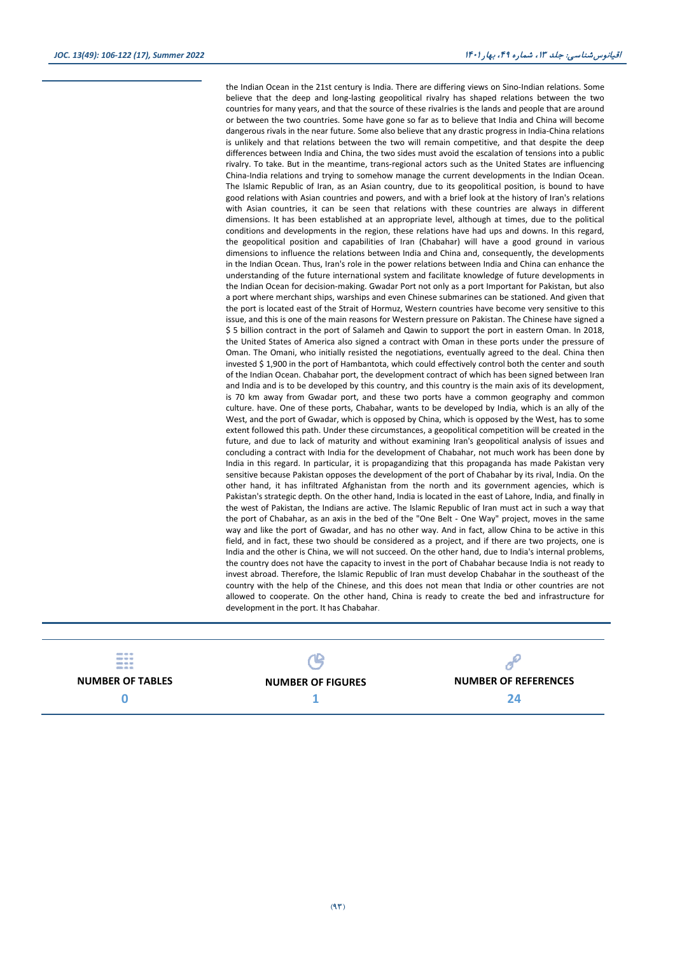the Indian Ocean in the 21st century is India. There are differing views on Sino-Indian relations. Some believe that the deep and long-lasting geopolitical rivalry has shaped relations between the two countries for many years, and that the source of these rivalries is the lands and people that are around or between the two countries. Some have gone so far as to believe that India and China will become dangerous rivals in the near future. Some also believe that any drastic progress in India-China relations is unlikely and that relations between the two will remain competitive, and that despite the deep differences between India and China, the two sides must avoid the escalation of tensions into a public rivalry. To take. But in the meantime, trans-regional actors such as the United States are influencing China-India relations and trying to somehow manage the current developments in the Indian Ocean. The Islamic Republic of Iran, as an Asian country, due to its geopolitical position, is bound to have good relations with Asian countries and powers, and with a brief look at the history of Iran's relations with Asian countries, it can be seen that relations with these countries are always in different dimensions. It has been established at an appropriate level, although at times, due to the political conditions and developments in the region, these relations have had ups and downs. In this regard, the geopolitical position and capabilities of Iran (Chabahar) will have a good ground in various dimensions to influence the relations between India and China and, consequently, the developments in the Indian Ocean. Thus, Iran's role in the power relations between India and China can enhance the understanding of the future international system and facilitate knowledge of future developments in the Indian Ocean for decision-making. Gwadar Port not only as a port Important for Pakistan, but also a port where merchant ships, warships and even Chinese submarines can be stationed. And given that the port is located east of the Strait of Hormuz, Western countries have become very sensitive to this issue, and this is one of the main reasons for Western pressure on Pakistan. The Chinese have signed a \$ 5 billion contract in the port of Salameh and Qawin to support the port in eastern Oman. In 2018, the United States of America also signed a contract with Oman in these ports under the pressure of Oman. The Omani, who initially resisted the negotiations, eventually agreed to the deal. China then invested \$ 1,900 in the port of Hambantota, which could effectively control both the center and south of the Indian Ocean. Chabahar port, the development contract of which has been signed between Iran and India and is to be developed by this country, and this country is the main axis of its development, is 70 km away from Gwadar port, and these two ports have a common geography and common culture. have. One of these ports, Chabahar, wants to be developed by India, which is an ally of the West, and the port of Gwadar, which is opposed by China, which is opposed by the West, has to some extent followed this path. Under these circumstances, a geopolitical competition will be created in the future, and due to lack of maturity and without examining Iran's geopolitical analysis of issues and concluding a contract with India for the development of Chabahar, not much work has been done by India in this regard. In particular, it is propagandizing that this propaganda has made Pakistan very sensitive because Pakistan opposes the development of the port of Chabahar by its rival, India. On the other hand, it has infiltrated Afghanistan from the north and its government agencies, which is Pakistan's strategic depth. On the other hand, India is located in the east of Lahore, India, and finally in the west of Pakistan, the Indians are active. The Islamic Republic of Iran must act in such a way that the port of Chabahar, as an axis in the bed of the "One Belt - One Way" project, moves in the same way and like the port of Gwadar, and has no other way. And in fact, allow China to be active in this field, and in fact, these two should be considered as a project, and if there are two projects, one is India and the other is China, we will not succeed. On the other hand, due to India's internal problems, the country does not have the capacity to invest in the port of Chabahar because India is not ready to invest abroad. Therefore, the Islamic Republic of Iran must develop Chabahar in the southeast of the country with the help of the Chinese, and this does not mean that India or other countries are not allowed to cooperate. On the other hand, China is ready to create the bed and infrastructure for development in the port. It has Chabahar.

| 49004-400-400<br><b>Anticho Vieto Add</b><br>sense and sen<br>state and six |                          |                             |
|-----------------------------------------------------------------------------|--------------------------|-----------------------------|
| <b>NUMBER OF TABLES</b>                                                     | <b>NUMBER OF FIGURES</b> | <b>NUMBER OF REFERENCES</b> |
|                                                                             |                          | 24                          |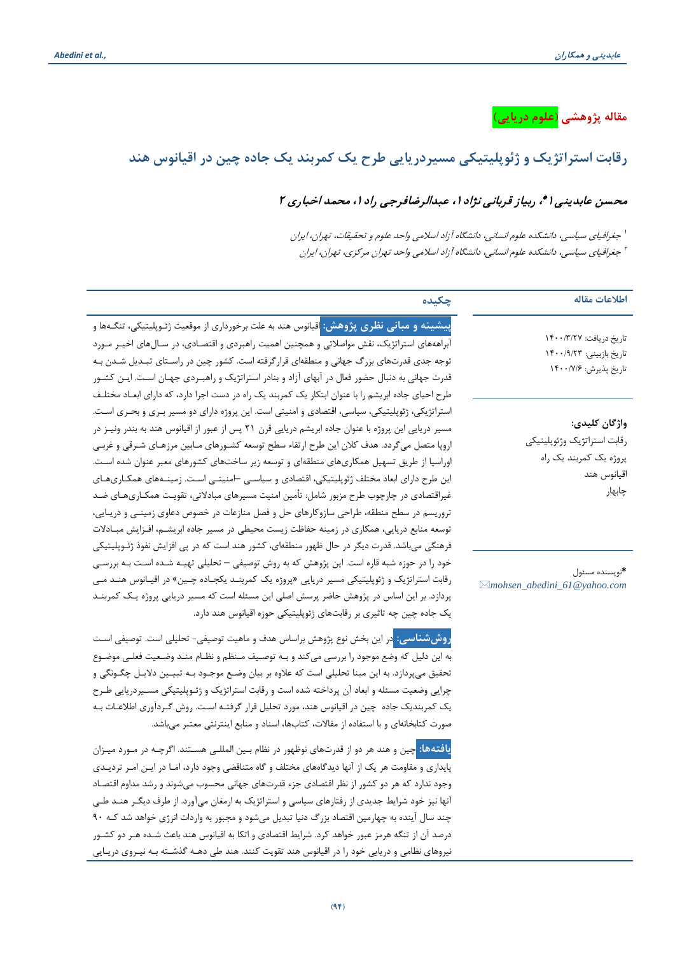**مقاله پژوهشی (علوم دریایی)**

## **رقابت استراتژیک و ژئوپلیتیکی مسیردریایی طرح یک کمربند یک جاده چین در اقیانوس هند**

## محسن عابدینی ا $\cdot$ ، ربیاز قربانی نژاد ا ، عبدالرضافرجی راد ا ، محمد اخباری ۲

جغرافیاي سیاسی، دانشکده علوم انسانی، دانشگاه آزاد اسلامی واحد علوم و تحقیقات، تهران، ایران <sup>1</sup> جغرافیاي سیاسی، دانشکده علوم انسانی، دانشگاه آزاد اسلامی واحد تهران مرکزي، تهران، ایران <sup>2</sup>

| اطلاعات مقاله                                                                                   | چکیده                                                                                                                                                                                                                                                                                                                                                                                                                                                                                                                                                                                                                                                                                                                  |
|-------------------------------------------------------------------------------------------------|------------------------------------------------------------------------------------------------------------------------------------------------------------------------------------------------------------------------------------------------------------------------------------------------------------------------------------------------------------------------------------------------------------------------------------------------------------------------------------------------------------------------------------------------------------------------------------------------------------------------------------------------------------------------------------------------------------------------|
| تا, یخ در یافت: ۱۴۰۰/۳/۲۷<br>تاریخ بازبینی: ۱۴۰۰/۹/۲۳<br>تاريخ پذيرش: ۱۴۰۰/۷/۶                  | <mark>پیشینه و مبانی نظری پژوهش: ا</mark> قیانوس هند به علت برخورداری از موقعیت ژئـوپلیتیکی، تنگـهها و<br>آبراهههای استراتژیک، نقش مواصلاتی و همچنین اهمیت راهبردی و اقتصـادی، در سـالهای اخیـر مـورد<br>توجه جدی قدرتهای بزرگ جهانی و منطقهای قرار گرفته است. کشور چین در راسـتای تبـدیل شـدن بـه<br>قدرت جهانی به دنبال حضور فعال در آبهای آزاد و بنادر استراتژیک و راهبـردی جهـان اسـت. ایــن کشــور<br>طرح احیای جاده ابریشم را با عنوان ابتکار یک کمربند یک راه در دست اجرا دارد، که دارای ابعـاد مختلـف                                                                                                                                                                                                          |
| واژگان كليدي:<br>رقابت استراتژيک وژئوپليتيكي<br>پروژه یک کمربند یک راه<br>اقيانوس هند<br>چابهار | استراتژیکی، ژئوپلیتیکی، سیاسی، اقتصادی و امنیتی است. این پروژه دارای دو مسیر بـری و بحـری اسـت.<br>مسیر دریایی این پروژه با عنوان جاده ابریشم دریایی قرن ۲۱ پس از عبور از اقیانوس هند به بندر ونیـز در<br>اروپا متصل میگردد. هدف کلان این طرح ارتقاء سطح توسعه کشـورهای مـابین مرزهـای شـرقی و غربـی<br>اوراسیا از طریق تسهیل همکاریهای منطقهای و توسعه زیر ساختهای کشورهای معبر عنوان شده است.<br>این طرح دارای ابعاد مختلف ژئوپلیتیکی، اقتصادی و سیاسـی –امنیتـی اسـت. زمینـههای همکـاریهـای<br>غیراقتصادی در چارچوب طرح مزبور شامل: تأمین امنیت مسیرهای مبادلاتی، تقویت همکـاریهـای ضـد                                                                                                                             |
| *نويسنده مسئول<br>⊠mohsen_abedini_61@yahoo.com                                                  | تروریسم در سطح منطقه، طراحی سازوکارهای حل و فصل منازعات در خصوص دعاوی زمینـی و دریـایی،<br>توسعه منابع دریایی، همکاری در زمینه حفاظت زیست محیطی در مسیر جاده ابریشـم، افـزایش مبـادلات<br>فرهنگی میباشد. قدرت دیگر در حال ظهور منطقهای، کشور هند است که در پی افزایش نفوذ ژئـوپلیتیکی<br>خود را در حوزه شبه قاره است. این پژوهش که به روش توصیفی – تحلیلی تهیـه شـده اسـت بـه بررسـی<br>رقابت استراتژیک و ژئوپلیتیکی مسیر دریایی «پروژه یک کمربنـد یکجـاده چـین» در اقیـانوس هنـد مـی<br>پردازد. بر این اساس در پژوهش حاضر پرسش اصلی این مسئله است که مسیر دریایی پروژه یـک کمربنـد<br>یک جاده چین چه تاثیری بر رقابتهای ژئوپلیتیکی حوزه اقیانوس هند دارد.                                                             |
|                                                                                                 | <mark>روششناسی: در این</mark> بخش نوع پژوهش براساس هدف و ماهیت توصیفی- تحلیلی است. توصیفی اسـت<br>به این دلیل که وضع موجود را بررسی میکند و بـه توصـیف مـنظم و نظـام منـد وضـعیت فعلـی موضـوع<br>تحقیق میپردازد. به این مبنا تحلیلی است که علاوه بر بیان وضـع موجـود بـه تبیـین دلایـل چگـونگی و<br>چرایی وضعیت مسئله و ابعاد آن پرداخته شده است و رقابت استراتژیک و ژئـوپلیتیکی مسـیردریایی طـرح<br>یک کمربندیک جاده چین در اقیانوس هند، مورد تحلیل قرار گرفتـه اسـت. روش گـردآوری اطلاعـات بـه<br>صورت کتابخانهای و با استفاده از مقالات، کتابها، اسناد و منابع اینترنتی معتبر میباشد.                                                                                                                               |
|                                                                                                 | <mark>یافتهها: چی</mark> ن و هند هر دو از قدرتهای نوظهور در نظام بـین المللـی هسـتند. اگرچـه در مـورد میـزان<br>پایداری و مقاومت هر یک از آنها دیدگاههای مختلف و گاه متناقضی وجود دارد، امـا در ایـن امـر تردیـدی<br>وجود ندارد که هر دو کشور از نظر اقتصادی جزء قدرتهای جهانی محسوب میشوند و رشد مداوم اقتصاد<br>آنها نیز خود شرایط جدیدی از رفتارهای سیاسی و استراتژیک به ارمغان میآورد. از طرف دیگـر هنـد طـی<br>چند سال آینده به چهارمین اقتصاد بزرگ دنیا تبدیل میشود و مجبور به واردات انرژی خواهد شد کـه ۹۰<br>درصد آن از تنگه هرمز عبور خواهد کرد. شرایط اقتصادی و اتکا به اقیانوس هند باعث شـده هـر دو کشـور<br>نیروهای نظامی و دریایی خود را در اقیانوس هند تقویت کنند. هند طی دهـه گذشـته بـه نیـروی دریـایی |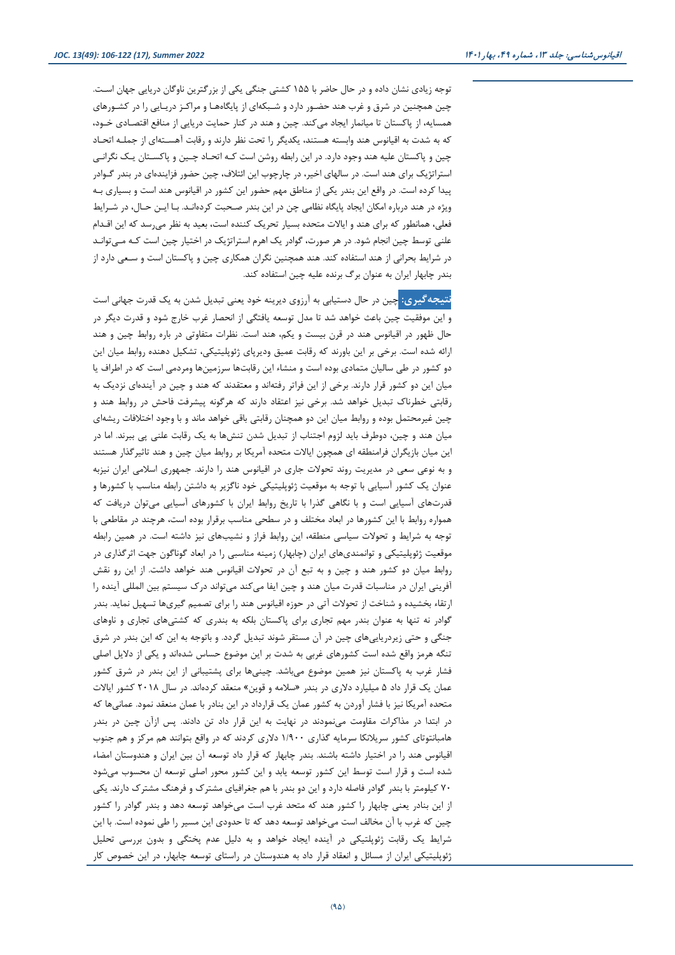توجه زیادي نشان داده و در حال حاضر با 155 کشتی جنگی یکی از بزرگترین ناوگان دریایی جهان اسـت. چین همچنین در شرق و غرب هند حضـور دارد و شـبکهاي از پایگاههـا و مراکـز دریـایی را در کشـورهاي همسایه، از پاکستان تا میانمار ایجاد میکند. چین و هند در کنار حمایت دریایی از منافع اقتصـادي خـود، که به شدت به اقیانوس هند وابسته هستند، یکدیگر را تحت نظر دارند و رقابت آهسـتهاي از جملـه اتحـاد چین و پاکستان علیه هند وجود دارد. در این رابطه روشن است کـه اتحـاد چـین و پاکسـتان یـک نگرانـی استراتژیک براي هند است. در سالهاي اخیر، در چارچوب این ائتلاف، چین حضور فزایندهاي در بندر گـوادر پیدا کرده است. در واقع این بندر یکی از مناطق مهم حضور این کشور در اقیانوس هند است و بسیاري بـه ویژه در هند درباره امکان ایجاد پایگاه نظامی چن در این بندر صـحبت کردهانـد. بـا ایـن حـال، در شـرایط فعلی، همانطور که براي هند و ایالات متحده بسیار تحریک کننده است، بعید به نظر میرسد که این اقـدام علنی توسط چین انجام شود. در هر صورت، گوادر یک اهرم استراتژیک در اختیار چین است کـه مـیتوانـد در شرایط بحرانی از هند استفاده کند. هند همچنین نگران همکاري چین و پاکستان است و سـعی دارد از بندر چابهار ایران به عنوان برگ برنده علیه چین استفاده کند.

**نتیجهگیري:** چین در حال دستیابی به آرزوي دیرینه خود یعنی تبدیل شدن به یک قدرت جهانی است و این موفقیت چین باعث خواهد شد تا مدل توسعه یافتگی از انحصار غرب خارج شود و قدرت دیگر در حال ظهور در اقیانوس هند در قرن بیست و یکم، هند است. نظرات متفاوتی در باره روابط چین و هند ارائه شده است. برخی بر این باورند که رقابت عمیق ودیرپاي ژئوپلیتیکی، تشکیل دهنده روابط میان این دو کشور در طی سالیان متمادي بوده است و منشاء این رقابتها سرزمینها ومردمی است که در اطراف یا میان این دو کشور قرار دارند. برخی از این فراتر رفتهاند و معتقدند که هند و چین در آیندهاي نزدیک به رقابتی خطرناك تبدیل خواهد شد. برخی نیز اعتقاد دارند که هرگونه پیشرفت فاحش در روابط هند و چین غیرمحتمل بوده و روابط میان این دو همچنان رقابتی باقی خواهد ماند و با وجود اختلافات ریشهاي میان هند و چین، دوطرف باید لزوم اجتناب از تبدیل شدن تنشها به یک رقابت علنی پی ببرند. اما در این میان بازیگران فرامنطقه اي همچون ایالات متحده آمریکا بر روابط میان چین و هند تاثیرگذار هستند و به نوعی سعی در مدیریت روند تحولات جاري در اقیانوس هند را دارند. جمهوري اسلامی ایران نیزبه عنوان یک کشور آسیایی با توجه به موقعیت ژئوپلیتیکی خود ناگزیر به داشتن رابطه مناسب با کشورها و قدرتهاي آسیایی است و با نگاهی گذرا با تاریخ روابط ایران با کشورهاي آسیایی میتوان دریافت که همواره روابط با این کشورها در ابعاد مختلف و در سطحی مناسب برقرار بوده است، هرچند در مقاطعی با توجه به شرایط و تحولات سیاسی منطقه، این روابط فراز و نشیبهاي نیز داشته است. در همین رابطه موقعیت ژئوپلیتیکی و توانمنديهاي ایران (چابهار) زمینه مناسبی را در ابعاد گوناگون جهت اثرگذاري در روابط میان دو کشور هند و چین و به تبع آن در تحولات اقیانوس هند خواهد داشت. از این رو نقش آفرینی ایران در مناسبات قدرت میان هند و چین ایفا میکند میتواند درك سیستم بین المللی آینده را ارتقاء بخشیده و شناخت از تحولات آتی در حوزه اقیانوس هند را براي تصمیم گیريها تسهیل نماید. بندر گوادر نه تنها به عنوان بندر مهم تجاري براي پاکستان بلکه به بندري که کشتیهاي تجاري و ناوهاي جنگی و حتی زیردریاییهاي چین در آن مستقر شوند تبدیل گردد. و باتوجه به این که این بندر در شرق تنگه هرمز واقع شده است کشورهاي غربی به شدت بر این موضوع حساس شدهاند و یکی از دلایل اصلی فشار غرب به پاکستان نیز همین موضوع میباشد. چینیها براي پشتیبانی از این بندر در شرق کشور عمان یک قرار داد 5 میلیارد دلاري در بندر «سلامه و قوین» منعقد کردهاند. در سال 2018 کشور ایالات متحده آمریکا نیز با فشار آوردن به کشور عمان یک قرارداد در این بنادر با عمان منعقد نمود. عمانیها که در ابتدا در مذاکرات مقاومت مینمودند در نهایت به این قرار داد تن دادند. پس ازآن چین در بندر هامبانتوتاي کشور سریلانکا سرمایه گذاري 1/900 دلاري کردند که در واقع بتوانند هم مرکز و هم جنوب اقیانوس هند را در اختیار داشته باشند. بندر چابهار که قرار داد توسعه آن بین ایران و هندوستان امضاء شده است و قرار است توسط این کشور توسعه یابد و این کشور محور اصلی توسعه ان محسوب میشود 70 کیلومتر با بندر گوادر فاصله دارد و این دو بندر با هم جغرافیاي مشترك و فرهنگ مشترك دارند. یکی از این بنادر یعنی چابهار را کشور هند که متحد غرب است میخواهد توسعه دهد و بندر گوادر را کشور چین که غرب با آن مخالف است میخواهد توسعه دهد که تا حدودي این مسیر را طی نموده است. با این شرایط یک رقابت ژئوپلتیکی در آینده ایجاد خواهد و به دلیل عدم پختگی و بدون بررسی تحلیل ژئوپلیتیکی ایران از مسائل و انعقاد قرار داد به هندوستان در راستاي توسعه چابهار، در این خصوص کار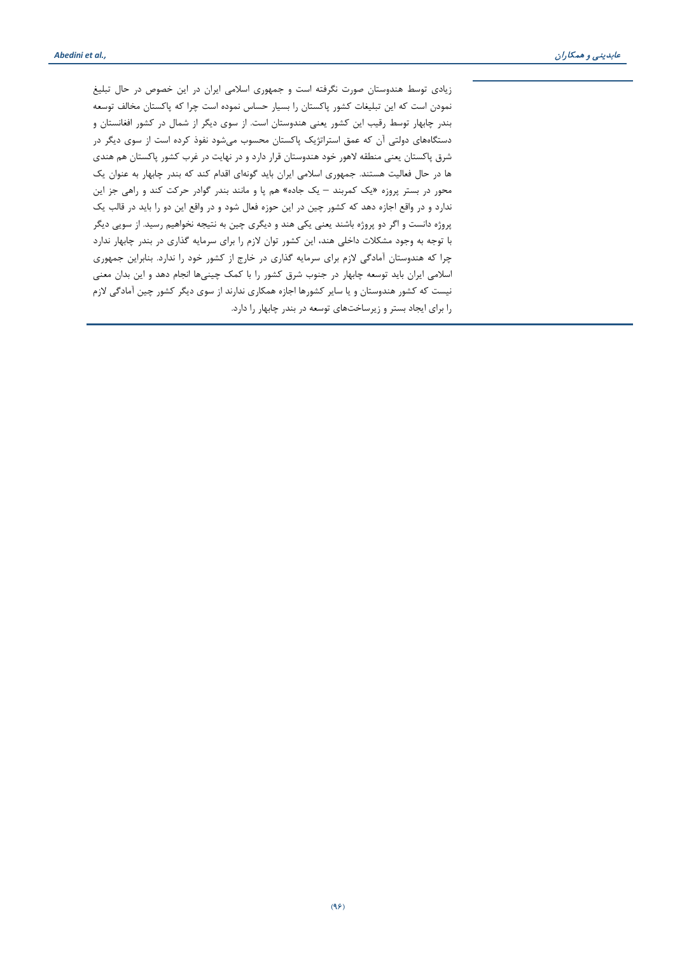زیادي توسط هندوستان صورت نگرفته است و جمهوري اسلامی ایران در این خصوص در حال تبلیغ نمودن است که این تبلیغات کشور پاکستان را بسیار حساس نموده است چرا که پاکستان مخالف توسعه بندر چابهار توسط رقیب این کشور یعنی هندوستان است. از سوي دیگر از شمال در کشور افغانستان و دستگاههاي دولتی آن که عمق استراتژیک پاکستان محسوب میشود نفوذ کرده است از سوي دیگر در شرق پاکستان یعنی منطقه لاهور خود هندوستان قرار دارد و در نهایت در غرب کشور پاکستان هم هندي ها در حال فعالیت هستند. جمهوري اسلامی ایران باید گونهاي اقدام کند که بندر چابهار به عنوان یک محور در بستر پروزه «یک کمربند – یک جاده» هم پا و مانند بندر گوادر حرکت کند و راهی جز این ندارد و در واقع اجازه دهد که کشور چین در این حوزه فعال شود و در واقع این دو را باید در قالب یک پروژه دانست و اگر دو پروژه باشند یعنی یکی هند و دیگري چین به نتیجه نخواهیم رسید. از سویی دیگر با توجه به وجود مشکلات داخلی هند، این کشور توان لازم را براي سرمایه گذاري در بندر چابهار ندارد چرا که هندوستان آمادگی لازم براي سرمایه گذاري در خارج از کشور خود را ندارد. بنابراین جمهوري اسلامی ایران باید توسعه چابهار در جنوب شرق کشور را با کمک چینیها انجام دهد و این بدان معنی نیست که کشور هندوستان و یا سایر کشورها اجازه همکاري ندارند از سوي دیگر کشور چین آمادگی لازم را براي ایجاد بستر و زیرساختهاي توسعه در بندر چابهار را دارد.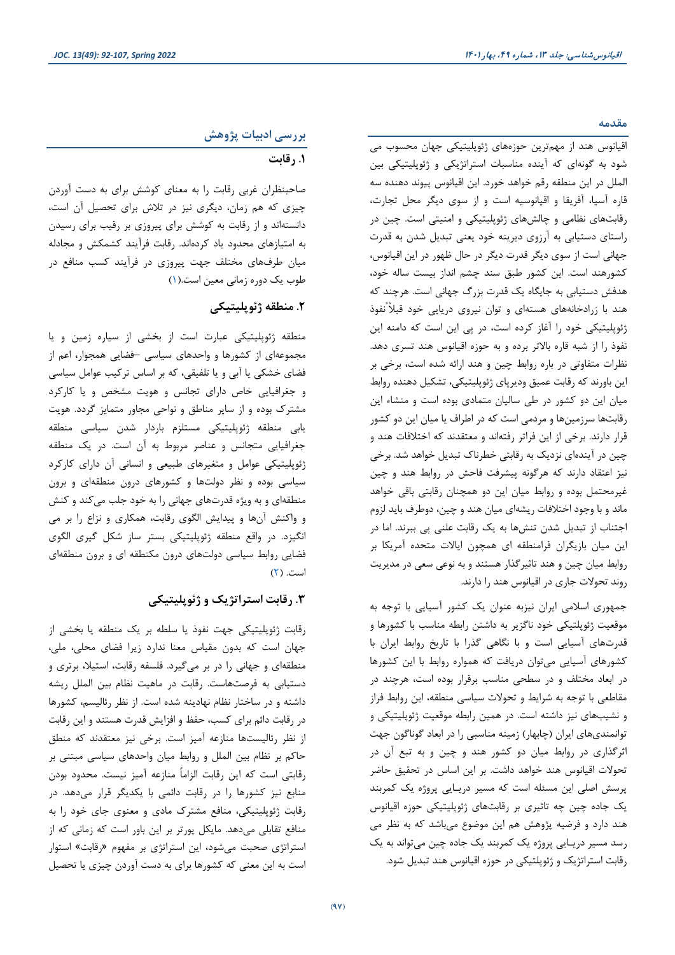**مقدمه**

اقیانوس هند از مهمترین حوزههاي ژئوپلیتیکی جهان محسوب می شود به گونهاي که آینده مناسبات استراتژیکی و ژئوپلیتیکی بین الملل در این منطقه رقم خواهد خورد. این اقیانوس پیوند دهنده سه قاره آسیا، آفریقا و اقیانوسیه است و از سوي دیگر محل تجارت، رقابتهاي نظامی و چالشهاي ژئوپلیتیکی و امنیتی است. چین در راستاي دستیابی به آرزوي دیرینه خود یعنی تبدیل شدن به قدرت جهانی است از سوي دیگر قدرت دیگر در حال ظهور در این اقیانوس، کشورهند است. این کشور طبق سند چشم انداز بیست ساله خود، هدفش دستیابی به جایگاه یک قدرت بزرگ جهانی است. هرچند که هند با زرادخانههاي هستهاي و توان نیروي دریایی خود قبلاً ًنفوذ ژئوپلیتیکی خود را آغاز کرده است، در پی این است که دامنه این نفوذ را از شبه قاره بالاتر برده و به حوزه اقیانوس هند تسري دهد. نظرات متفاوتی در باره روابط چین و هند ارائه شده است، برخی بر این باورند که رقابت عمیق ودیرپاي ژئوپلیتیکی، تشکیل دهنده روابط میان این دو کشور در طی سالیان متمادي بوده است و منشاء این رقابتها سرزمینها و مردمی است که در اطراف یا میان این دو کشور قرار دارند. برخی از این فراتر رفتهاند و معتقدند که اختلافات هند و چین در آیندهاي نزدیک به رقابتی خطرناك تبدیل خواهد شد. برخی نیز اعتقاد دارند که هرگونه پیشرفت فاحش در روابط هند و چین غیرمحتمل بوده و روابط میان این دو همچنان رقابتی باقی خواهد ماند و با وجود اختلافات ریشهاي میان هند و چین، دوطرف باید لزوم اجتناب از تبدیل شدن تنشها به یک رقابت علنی پی ببرند. اما در این میان بازیگران فرامنطقه اي همچون ایالات متحده آمریکا بر روابط میان چین و هند تاثیرگذار هستند و به نوعی سعی در مدیریت روند تحولات جاري در اقیانوس هند را دارند.

جمهوري اسلامی ایران نیزبه عنوان یک کشور آسیایی با توجه به موقعیت ژئوپلتیکی خود ناگزیر به داشتن رابطه مناسب با کشورها و قدرتهاي آسیایی است و با نگاهی گذرا با تاریخ روابط ایران با کشورهاي آسیایی میتوان دریافت که همواره روابط با این کشورها در ابعاد مختلف و در سطحی مناسب برقرار بوده است، هرچند در مقاطعی با توجه به شرایط و تحولات سیاسی منطقه، این روابط فراز و نشیبهاي نیز داشته است. در همین رابطه موقعیت ژئوپلیتیکی و توانمنديهاي ایران (چابهار) زمینه مناسبی را در ابعاد گوناگون جهت اثرگذاري در روابط میان دو کشور هند و چین و به تبع آن در تحولات اقیانوس هند خواهد داشت. بر این اساس در تحقیق حاضر پرسش اصلی این مسئله است که مسیر دریـایی پروژه یک کمربند یک جاده چین چه تاثیري بر رقابتهاي ژئوپلیتیکی حوزه اقیانوس هند دارد و فرضیه پژوهش هم این موضوع میباشد که به نظر می رسد مسیر دریـایی پروژه یک کمربند یک جاده چین میتواند به یک رقابت استراتژیک و ژئوپلتیکی در حوزه اقیانوس هند تبدیل شود.

## **بررسی ادبیات پژوهش**

#### **.1 رقابت**

صاحبنظران غربی رقابت را به معناي کوشش براي به دست آوردن چیزي که هم زمان، دیگري نیز در تلاش براي تحصیل آن است، دانستهاند و از رقابت به کوشش براي پیروزي بر رقیب براي رسیدن به امتیازهاي محدود یاد کردهاند. رقابت فرآیند کشمکش و مجادله میان طرفهاي مختلف جهت پیروزي در فرآیند کسب منافع در طوب یک دوره زمانی معین است.[\(1\)](#page-14-0)

### **.2 منطقه ژئوپلیتیکی**

منطقه ژئوپلیتیکی عبارت است از بخشی از سیاره زمین و یا مجموعهاي از کشورها و واحدهاي سیاسی –فضایی همجوار، اعم از فضاي خشکی یا آبی و یا تلفیقی، که بر اساس ترکیب عوامل سیاسی و جغرافیایی خاص داراي تجانس و هویت مشخص و یا کارکرد مشترك بوده و از سایر مناطق و نواحی مجاور متمایز گردد. هویت یابی منطقه ژئوپلیتیکی مستلزم باردار شدن سیاسی منطقه جغرافیایی متجانس و عناصر مربوط به آن است. در یک منطقه ژئوپلیتیکی عوامل و متغیرهاي طبیعی و انسانی آن داراي کارکرد سیاسی بوده و نظر دولتها و کشورهاي درون منطقهاي و برون منطقهاي و به ویژه قدرتهاي جهانی را به خود جلب میکند و کنش و واکنش آنها و پیدایش الگوي رقابت، همکاري و نزاع را بر می انگیزد. در واقع منطقه ژئوپلیتیکی بستر ساز شکل گیري الگوي فضایی روابط سیاسی دولتهاي درون مکنطقه اي و برون منطقهاي است. [\(2\)](#page-14-1)

## **.3 رقابت استراتژیک و ژئوپلیتیکی**

رقابت ژئوپلیتیکی جهت نفوذ یا سلطه بر یک منطقه یا بخشی از جهان است که بدون مقیاس معنا ندارد زیرا فضاي محلی، ملی، منطقهاي و جهانی را در بر میگیرد. فلسفه رقابت، استیلا، برتري و دستیابی به فرصتهاست. رقابت در ماهیت نظام بین الملل ریشه داشته و در ساختار نظام نهادینه شده است. از نظر رئالیسم، کشورها در رقابت دائم براي کسب، حفظ و افزایش قدرت هستند و این رقابت از نظر رئالیستها منازعه آمیز است. برخی نیز معتقدند که منطق حاکم بر نظام بین الملل و روابط میان واحدهاي سیاسی مبتنی بر رقابتی است که این رقابت الزاماً منازعه آمیز نیست. محدود بودن منابع نیز کشورها را در رقابت دائمی با یکدیگر قرار میدهد. در رقابت ژئوپلیتیکی، منافع مشترك مادي و معنوي جاي خود را به منافع تقابلی میدهد. مایکل پورتر بر این باور است که زمانی که از استراتژي صحبت میشود، این استراتژي بر مفهوم «رقابت» استوار است به این معنی که کشورها براي به دست آوردن چیزي یا تحصیل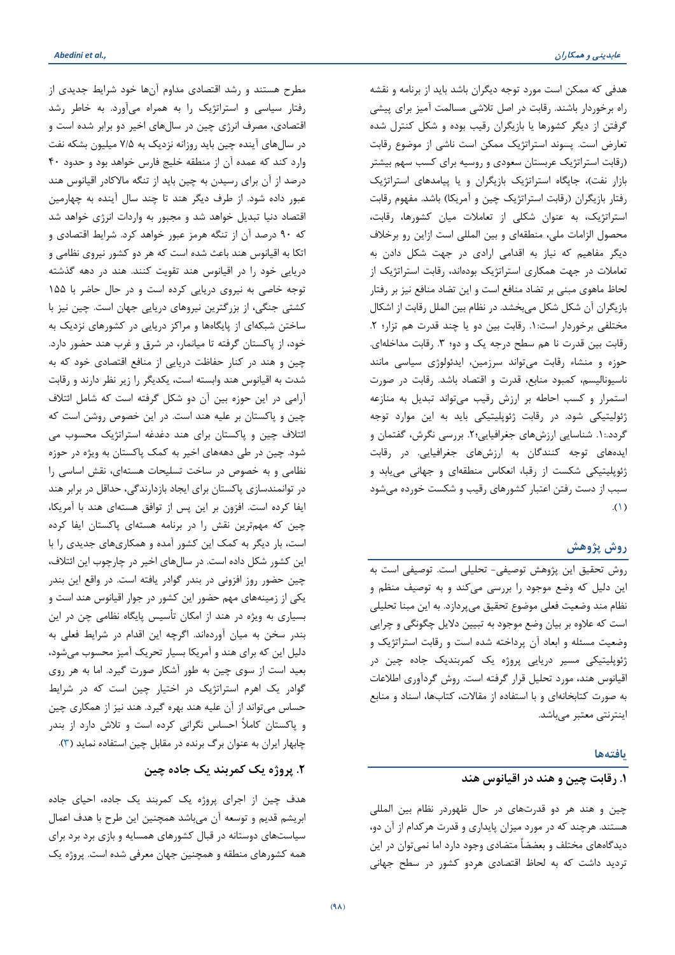مطرح هستند و رشد اقتصادي مداوم آنها خود شرایط جدیدي از رفتار سیاسی و استراتژیک را به همراه میآورد. به خاطر رشد اقتصادي، مصرف انرژي چین در سالهاي اخیر دو برابر شده است و در سالهاي آینده چین باید روزانه نزدیک به 7/5 میلیون بشکه نفت وارد کند که عمده آن از منطقه خلیج فارس خواهد بود و حدود 40 درصد از آن براي رسیدن به چین باید از تنگه مالاکادر اقیانوس هند عبور داده شود. از طرف دیگر هند تا چند سال آینده به چهارمین اقتصاد دنیا تبدیل خواهد شد و مجبور به واردات انرژي خواهد شد که 90 درصد آن از تنگه هرمز عبور خواهد کرد. شرایط اقتصادي و اتکا به اقیانوس هند باعث شده است که هر دو کشور نیروي نظامی و دریایی خود را در اقیانوس هند تقویت کنند. هند در دهه گذشته توجه خاصی به نیروي دریایی کرده است و در حال حاضر با 155 کشتی جنگی، از بزرگترین نیروهاي دریایی جهان است. چین نیز با ساختن شبکهاي از پایگاهها و مراکز دریایی در کشورهاي نزدیک به خود، از پاکستان گرفته تا میانمار، در شرق و غرب هند حضور دارد. چین و هند در کنار حفاظت دریایی از منافع اقتصادي خود که به شدت به اقیانوس هند وابسته است، یکدیگر را زیر نظر دارند و رقابت آرامی در این حوزه بین آن دو شکل گرفته است که شامل ائتلاف چین و پاکستان بر علیه هند است. در این خصوص روشن است که ائتلاف چین و پاکستان براي هند دغدغه استراتژیک محسوب می شود. چین در طی دهههاي اخیر به کمک پاکستان به ویژه در حوزه نظامی و به خصوص در ساخت تسلیحات هستهاي، نقش اساسی را در توانمندسازي پاکستان براي ایجاد بازدارندگی، حداقل در برابر هند ایفا کرده است. افزون بر این پس از توافق هستهاي هند با آمریکا، چین که مهمترین نقش را در برنامه هستهاي پاکستان ایفا کرده است، بار دیگر به کمک این کشور آمده و همکاريهاي جدیدي را با این کشور شکل داده است. در سالهاي اخیر در چارچوب این ائتلاف، چین حضور روز افزونی در بندر گوادر یافته است. در واقع این بندر یکی از زمینههاي مهم حضور این کشور در جوار اقیانوس هند است و بسیاري به ویژه در هند از امکان تأسیس پایگاه نظامی چن در این بندر سخن به میان آوردهاند. اگرچه این اقدام در شرایط فعلی به دلیل این که براي هند و آمریکا بسیار تحریک آمیز محسوب میشود، بعید است از سوي چین به طور آشکار صورت گیرد. اما به هر روي گوادر یک اهرم استراتژیک در اختیار چین است که در شرایط حساس میتواند از آن علیه هند بهره گیرد. هند نیز از همکاري چین و پاکستان کاملاً احساس نگرانی کرده است و تلاش دارد از بندر چابهار ایران به عنوان برگ برنده در مقابل چین استفاده نماید [\(3\)](#page-14-2).

## **.2 پروژه یک کمربند یک جاده چین**

هدف چین از اجراي پروژه یک کمربند یک جاده، احیاي جاده ابریشم قدیم و توسعه آن میباشد همچنین این طرح با هدف اعمال سیاستهاي دوستانه در قبال کشورهاي همسایه و بازي برد برد براي همه کشورهاي منطقه و همچنین جهان معرفی شده است. پروژه یک هدفی که ممکن است مورد توجه دیگران باشد باید از برنامه و نقشه راه برخوردار باشند. رقابت در اصل تلاشی مسالمت آمیز براي پیشی گرفتن از دیگر کشورها یا بازیگران رقیب بوده و شکل کنترل شده تعارض است. پسوند استراتژیک ممکن است ناشی از موضوع رقابت (رقابت استراتژیک عربستان سعودي و روسیه براي کسب سهم بیشتر بازار نفت)، جایگاه استراتژیک بازیگران و یا پیامدهاي استراتژیک رفتار بازیگران (رقابت استراتژیک چین و آمریکا) باشد. مفهوم رقابت استراتژیک، به عنوان شکلی از تعاملات میان کشورها، رقابت، محصول الزامات ملی، منطقهاي و بین المللی است ازاین رو برخلاف دیگر مفاهیم که نیاز به اقدامی ارادي در جهت شکل دادن به تعاملات در جهت همکاري استراتژیک بودهاند، رقابت استراتژیک از لحاظ ماهوي مبنی بر تضاد منافع است و این تضاد منافع نیز بر رفتار بازیگران آن شکل شکل میبخشد. در نظام بین الملل رقابت از اشکال مختلفی برخوردار است.1: رقابت بین دو یا چند قدرت هم تزار؛ .2 رقابت بین قدرت نا هم سطح درجه یک و دو؛ ۳. رقابت مداخلهای. حوزه و منشاء رقابت میتواند سرزمین، ایدئولوژي سیاسی مانند ناسیونالیسم، کمبود منابع، قدرت و اقتصاد باشد. رقابت در صورت استمرار و کسب احاطه بر ارزش رقیب میتواند تبدیل به منازعه ژئولیتیکی شود. در رقابت ژئوپلیتیکی باید به این موارد توجه گردد.: ۱. شناسایی ارزشهای جغرافیایی؛ ۲. بررسی نگرش، گفتمان و ایدههاي توجه کنندگان به ارزشهاي جغرافیایی. در رقابت ژئوپلیتیکی شکست از رقبا، انعکاس منطقهاي و جهانی مییابد و سبب از دست رفتن اعتبار کشورهاي رقیب و شکست خورده میشود .[\(1\)](#page-14-0)

#### **روش پژوهش**

روش تحقیق این پژوهش توصیفی- تحلیلی است. توصیفی است به این دلیل که وضع موجود را بررسی میکند و به توصیف منظم و نظام مند وضعیت فعلی موضوع تحقیق میپردازد. به این مبنا تحلیلی است که علاوه بر بیان وضع موجود به تبیین دلایل چگونگی و چرایی وضعیت مسئله و ابعاد آن پرداخته شده است و رقابت استراتژیک و ژئوپلیتیکی مسیر دریایی پروژه یک کمربندیک جاده چین در اقیانوس هند، مورد تحلیل قرار گرفته است. روش گردآوري اطلاعات به صورت کتابخانهاي و با استفاده از مقالات، کتابها، اسناد و منابع اینترنتی معتبر میباشد.

#### **یافتهها**

#### **.1 رقابت چین و هند در اقیانوس هند**

چین و هند هر دو قدرتهاي در حال ظهوردر نظام بین المللی هستند. هرچند که در مورد میزان پایداري و قدرت هرکدام از آن دو، دیدگاههاي مختلف و بعضضاً متضادي وجود دارد اما نمیتوان در این تردید داشت که به لحاظ اقتصادي هردو کشور در سطح جهانی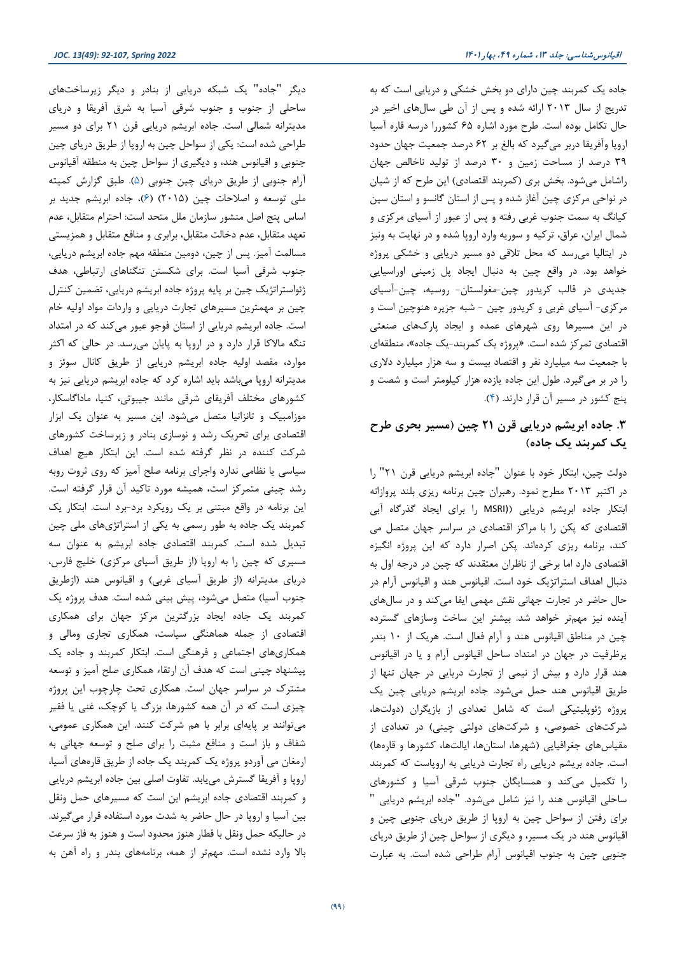جاده یک کمربند چین داراي دو بخش خشکی و دریایی است که به تدریج از سال 2013 ارائه شده و پس از آن طی سالهاي اخیر در حال تکامل بوده است. طرح مورد اشاره 65 کشوررا درسه قاره آسیا اروپا وآفریقا دربر میگیرد که بالغ بر 62 درصد جمعیت جهان حدود 39 درصد از مساحت زمین و 30 درصد از تولید ناخالص جهان راشامل میشود. بخش بري (کمربند اقتصادي) این طرح که از شیان در نواحی مرکزي چین آغاز شده و پس از استان گانسو و استان سین کیانگ به سمت جنوب غربی رفته و پس از عبور از آسیاي مرکزي و شمال ایران، عراق، ترکیه و سوریه وارد اروپا شده و در نهایت به ونیز در ایتالیا میرسد که محل تلاقی دو مسیر دریایی و خشکی پروژه خواهد بود. در واقع چین به دنبال ایجاد پل زمینی اوراسیایی جدیدي در قالب کریدور چین-مغولستان- روسیه، چین-آسیاي مرکزي- آسیاي غربی و کریدور چین - شبه جزیره هنوچین است و در این مسیرها روي شهرهاي عمده و ایجاد پاركهاي صنعتی اقتصادي تمرکز شده است. «پروژه یک کمربند-یک جاده»، منطقهاي با جمعیت سه میلیارد نفر و اقتصاد بیست و سه هزار میلیارد دلاري را در بر میگیرد. طول این جاده یازده هزار کیلومتر است و شصت و پنج کشور در مسیر آن قرار دارند. [\(4\)](#page-14-3).

## **.3 جاده ابریشم دریایی قرن 21 چین (مسیر بحري طرح یک کمربند یک جاده)**

دولت چین، ابتکار خود با عنوان "جاده ابریشم دریایی قرن 21" را در اکتبر 2013 مطرح نمود. رهبران چین برنامه ریزي بلند پروازانه ابتکار جاده ابریشم دریایی ((MSRI را براي ایجاد گذرگاه آبی اقتصادي که پکن را با مراکز اقتصادي در سراسر جهان متصل می کند، برنامه ریزي کردهاند. پکن اصرار دارد که این پروژه انگیزه اقتصادي دارد اما برخی از ناظران معتقدند که چین در درجه اول به دنبال اهداف استراتژیک خود است. اقیانوس هند و اقیانوس آرام در حال حاضر در تجارت جهانی نقش مهمی ایفا میکند و در سالهاي آینده نیز مهمتر خواهد شد. بیشتر این ساخت وسازهاي گسترده چین در مناطق اقیانوس هند و آرام فعال است. هریک از 10 بندر پرظرفیت در جهان در امتداد ساحل اقیانوس آرام و یا در اقیانوس هند قرار دارد و بیش از نیمی از تجارت دریایی در جهان تنها از طریق اقیانوس هند حمل میشود. جاده ابریشم دریایی چین یک پروژه ژئوپلیتیکی است که شامل تعدادي از بازیگران (دولتها، شرکتهاي خصوصی، و شرکتهاي دولتی چینی) در تعدادي از مقیاسهاي جغرافیایی (شهرها، استانها، ایالتها، کشورها و قارهها) است. جاده بریشم دریایی راه تجارت دریایی به اروپاست که کمربند را تکمیل میکند و همسایگان جنوب شرقی آسیا و کشورهاي ساحلی اقیانوس هند را نیز شامل میشود. "جاده ابریشم دریایی " براي رفتن از سواحل چین به اروپا از طریق دریاي جنوبی چین و اقیانوس هند در یک مسیر، و دیگري از سواحل چین از طریق دریاي جنوبی چین به جنوب اقیانوس آرام طراحی شده است. به عبارت

دیگر "جاده" یک شبکه دریایی از بنادر و دیگر زیرساختهاي ساحلی از جنوب و جنوب شرقی آسیا به شرق آفریقا و دریاي مدیترانه شمالی است. جاده ابریشم دریایی قرن 21 براي دو مسیر طراحی شده است: یکی از سواحل چین به اروپا از طریق دریاي چین جنوبی و اقیانوس هند، و دیگیري از سواحل چین به منطقه آقیانوس آرام جنوبی از طریق دریاي چین جنوبی [\(5\)](#page-14-4). طبق گزارش کمیته ملی توسعه و اصلاحات چین (2015) [\(6\)](#page-14-5)، جاده ابریشم جدید بر اساس پنج اصل منشور سازمان ملل متحد است: احترام متقابل، عدم تعهد متقابل، عدم دخالت متقابل، برابري و منافع متقابل و همزیستی مسالمت آمیز. پس از چین، دومین منطقه مهم جاده ابریشم دریایی، جنوب شرقی آسیا است. براي شکستن تنگناهاي ارتباطی، هدف ژئواستراتژیک چین بر پایه پروژه جاده ابریشم دریایی، تضمین کنترل چین بر مهمترین مسیرهاي تجارت دریایی و واردات مواد اولیه خام است. جاده ابریشم دریایی از استان فوجو عبور میکند که در امتداد تنگه مالاکا قرار دارد و در اروپا به پایان میرسد. در حالی که اکثر موارد، مقصد اولیه جاده ابریشم دریایی از طریق کانال سوئز و مدیترانه اروپا میباشد باید اشاره کرد که جاده ابریشم دریایی نیز به کشورهاي مختلف آفریقاي شرقی مانند جیبوتی، کنیا، ماداگاسکار، موزامبیک و تانزانیا متصل میشود. این مسیر به عنوان یک ابزار اقتصادي براي تحریک رشد و نوسازي بنادر و زیرساخت کشورهاي شرکت کننده در نظر گرفته شده است. این ابتکار هیچ اهداف سیاسی یا نظامی ندارد واجراي برنامه صلح آمیز که روي ثروت روبه رشد چینی متمرکز است، همیشه مورد تاکید آن قرار گرفته است. این برنامه در واقع مبتنی بر یک رویکرد برد-برد است. ابتکار یک کمربند یک جاده به طور رسمی به یکی از استراتژيهاي ملی چین تبدیل شده است. کمربند اقتصادي جاده ابریشم به عنوان سه مسیري که چین را به اروپا (از طریق آسیاي مرکزي) خلیج فارس، دریاي مدیترانه (از طریق آسیاي غربی) و اقیانوس هند (ازطریق جنوب آسیا) متصل میشود، پیش بینی شده است. هدف پروژه یک کمربند یک جاده ایجاد بزرگترین مرکز جهان براي همکاري اقتصادي از جمله هماهنگی سیاست، همکاري تجاري ومالی و همکاريهاي اجتماعی و فرهنگی است. ابتکار کمربند و جاده یک پیشنهاد چینی است که هدف آن ارتقاء همکاري صلح آمیز و توسعه مشترك در سراسر جهان است. همکاري تحت چارچوب این پروژه چیزي است که در آن همه کشورها، بزرگ یا کوچک، غنی یا فقیر میتوانند بر پایهاي برابر با هم شرکت کنند. این همکاري عمومی، شفاف و باز است و منافع مثبت را براي صلح و توسعه جهانی به ارمغان می آوردو پروژه یک کمربند یک جاده از طریق قارههاي آسیا، اروپا و آفریقا گسترش مییابد. تفاوت اصلی بین جاده ابریشم دریایی و کمربند اقتصادي جاده ابریشم این است که مسیرهاي حمل ونقل بین آسیا و اروپا در حال حاضر به شدت مورد استفاده قرار میگیرند. در حالیکه حمل ونقل با قطار هنوز محدود است و هنوز به فاز سرعت بالا وارد نشده است. مهمتر از همه، برنامههاي بندر و راه آهن به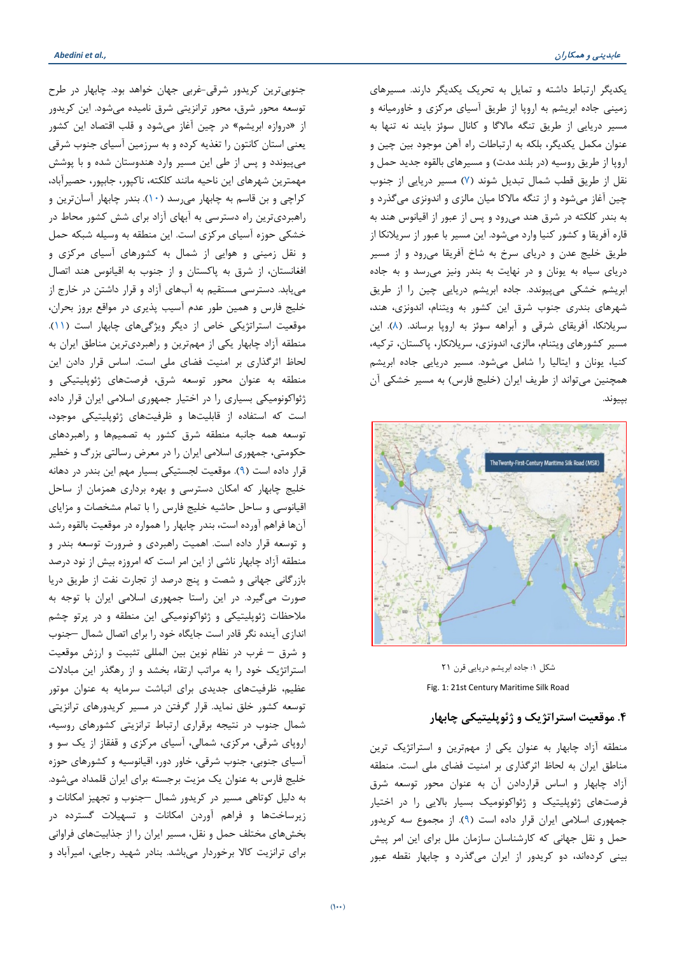یکدیگر ارتباط داشته و تمایل به تحریک یکدیگر دارند. مسیرهاي زمینی جاده ابریشم به اروپا از طریق آسیاي مرکزي و خاورمیانه و مسیر دریایی از طریق تنگه مالاگا و کانال سوئز بایند نه تنها به عنوان مکمل یکدیگر، بلکه به ارتباطات راه آهن موجود بین چین و اروپا از طریق روسیه (در بلند مدت) و مسیرهاي بالقوه جدید حمل و نقل از طریق قطب شمال تبدیل شوند [\(7\)](#page-14-6) مسیر دریایی از جنوب چین آغاز میشود و از تنگه مالاکا میان مالزي و اندونزي میگذرد و به بندر کلکته در شرق هند میرود و پس از عبور از اقیانوس هند به قاره آفریقا و کشور کنیا وارد میشود. این مسیر با عبور از سریلانکا از طریق خلیج عدن و دریاي سرخ به شاخ آفریقا میرود و از مسیر دریاي سیاه به یونان و در نهایت به بندر ونیز میرسد و به جاده ابریشم خشکی میپیوندد. جاده ابریشم دریایی چین را از طریق شهرهاي بندري جنوب شرق این کشور به ویتنام، اندونزي، هند، سریلانکا، آفریقاي شرقی و آبراهه سوئز به اروپا برساند. [\(8\)](#page-14-7). این مسیر کشورهاي ویتنام، مالزي، اندونزي، سریلانکار، پاکستان، ترکیه، کنیا، یونان و ایتالیا را شامل میشود. مسیر دریایی جاده ابریشم همچنین میتواند از طریف ایران (خلیج فارس) به مسیر خشکی آن بپیوند.



شکل :1 جاده ابریشم دریایی قرن 21 Fig. 1: 21st Century Maritime Silk Road

## **.4 موقعیت استراتژیک و ژئوپلیتیکی چابهار**

منطقه آزاد چابهار به عنوان یکی از مهمترین و استراتژیک ترین مناطق ایران به لحاظ اثرگذاري بر امنیت فضاي ملی است. منطقه آزاد چابهار و اساس قراردادن آن به عنوان محور توسعه شرق فرصتهاي ژئوپلیتیک و ژئواکونومیک بسیار بالایی را در اختیار جمهوري اسلامی ایران قرار داده است [\(9\)](#page-14-8). از مجموع سه کریدور حمل و نقل جهانی که کارشناسان سازمان ملل براي این امر پیش بینی کردهاند، دو کریدور از ایران میگذرد و چابهار نقطه عبور

جنوبیترین کریدور شرقی-غربی جهان خواهد بود. چابهار در طرح توسعه محور شرق، محور ترانزیتی شرق نامیده میشود. این کریدور از «دروازه ابریشم» در چین آغاز میشود و قلب اقتصاد این کشور یعنی استان کانتون را تغذیه کرده و به سرزمین آسیاي جنوب شرقی میپیوندد و پس از طی این مسیر وارد هندوستان شده و با پوشش مهمترین شهرهاي این ناحیه مانند کلکته، ناکپور، جابپور، حصیرآباد، کراچی و بن قاسم به چابهار میرسد [\(10\)](#page-14-9). بندر چابهار آسانترین و راهبرديترین راه دسترسی به آبهاي آزاد براي شش کشور محاط در خشکی حوزه آسیاي مرکزي است. این منطقه به وسیله شبکه حمل و نقل زمینی و هوایی از شمال به کشورهاي آسیاي مرکزي و افغانستان، از شرق به پاکستان و از جنوب به اقیانوس هند اتصال مییابد. دسترسی مستقیم به آبهاي آزاد و قرار داشتن در خارج از خلیج فارس و همین طور عدم آسیب پذیري در مواقع بروز بحران، موقعیت استراتژیکی خاص از دیگر ویژگیهاي چابهار است [\(11\)](#page-14-10). منطقه آزاد چابهار یکی از مهمترین و راهبرديترین مناطق ایران به لحاظ اثرگذاري بر امنیت فضاي ملی است. اساس قرار دادن این منطقه به عنوان محور توسعه شرق، فرصتهاي ژئوپلیتیکی و ژئواکونومیکی بسیاري را در اختیار جمهوري اسلامی ایران قرار داده است که استفاده از قابلیتها و ظرفیتهاي ژئوپلیتیکی موجود، توسعه همه جانبه منطقه شرق کشور به تصمیمها و راهبردهاي حکومتی، جمهوري اسلامی ایران را در معرض رسالتی بزرگ و خطیر قرار داده است [\(9\)](#page-14-8). موقعیت لجستیکی بسیار مهم این بندر در دهانه خلیج چابهار که امکان دسترسی و بهره برداري همزمان از ساحل اقیانوسی و ساحل حاشیه خلیج فارس را با تمام مشخصات و مزایاي آنها فراهم آورده است، بندر چابهار را همواره در موقعیت بالقوه رشد و توسعه قرار داده است. اهمیت راهبردي و ضرورت توسعه بندر و منطقه آزاد چابهار ناشی از این امر است که امروزه بیش از نود درصد بازرگانی جهانی و شصت و پنج درصد از تجارت نفت از طریق دریا صورت میگیرد. در این راستا جمهوري اسلامی ایران با توجه به ملاحظات ژئوپلیتیکی و ژئواکونومیکی این منطقه و در پرتو چشم اندازي آینده نگر قادر است جایگاه خود را براي اتصال شمال –جنوب و شرق – غرب در نظام نوین بین المللی تثبیت و ارزش موقعیت استراتژیک خود را به مراتب ارتقاء بخشد و از رهگذر این مبادلات عظیم، ظرفیتهاي جدیدي براي انباشت سرمایه به عنوان موتور توسعه کشور خلق نماید. قرار گرفتن در مسیر کریدورهاي ترانزیتی شمال جنوب در نتیجه برقراري ارتباط ترانزیتی کشورهاي روسیه، اروپاي شرقی، مرکزي، شمالی، آسیاي مرکزي و قفقاز از یک سو و آسیاي جنوبی، جنوب شرقی، خاور دور، اقیانوسیه و کشورهاي حوزه خلیج فارس به عنوان یک مزیت برجسته براي ایران قلمداد میشود. به دلیل کوتاهی مسیر در کریدور شمال –جنوب و تجهیز امکانات و زیرساختها و فراهم آوردن امکانات و تسهیلات گسترده در بخشهاي مختلف حمل و نقل، مسیر ایران را از جذابیتهاي فراوانی براي ترانزیت کالا برخوردار میباشد. بنادر شهید رجایی، امیرآباد و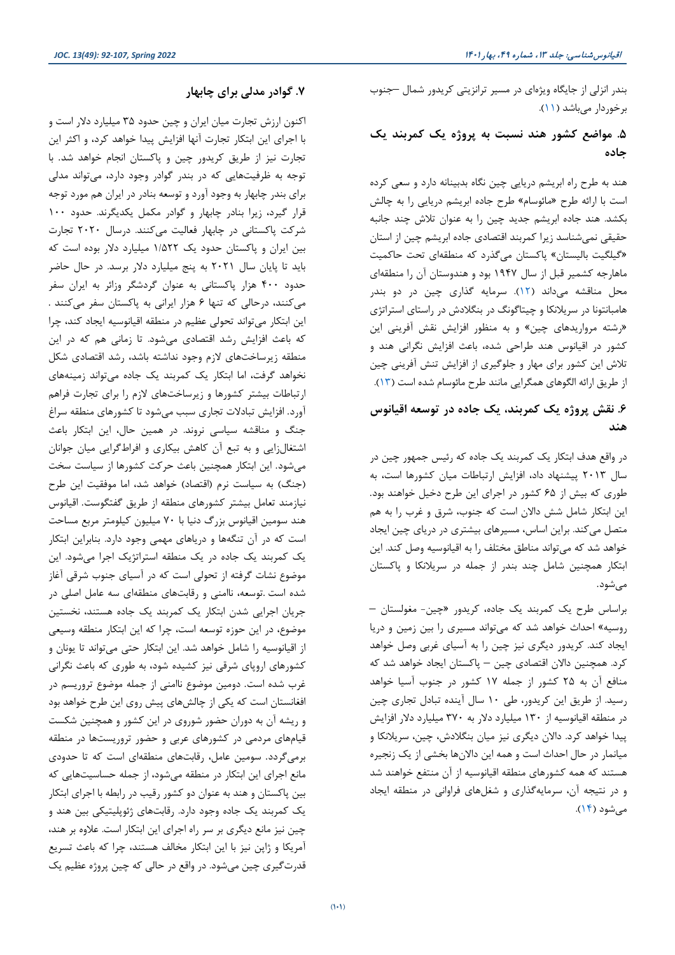بندر انزلی از جایگاه ویژهاي در مسیر ترانزیتی کریدور شمال –جنوب برخوردار میباشد [\(11\)](#page-14-10).

## **.5 مواضع کشور هند نسبت به پروژه یک کمربند یک جاده**

هند به طرح راه ابریشم دریایی چین نگاه بدبینانه دارد و سعی کرده است با ارائه طرح «مائوسام» طرح جاده ابریشم دریایی را به چالش بکشد. هند جاده ابریشم جدید چین را به عنوان تلاش چند جانبه حقیقی نمیشناسد زیرا کمربند اقتصادي جاده ابریشم چین از استان «گیلگیت بالیستان» پاکستان میگذرد که منطقهاي تحت حاکمیت ماهارجه کشمیر قبل از سال 1947 بود و هندوستان آن را منطقهاي محل مناقشه میداند [\(12\)](#page-14-11). سرمایه گذاري چین در دو بندر هامبانتونا در سریلانکا و چیتاگونگ در بنگلادش در راستاي استراتژي «رشته مرواریدهاي چین» و به منظور افزایش نقش آفرینی این کشور در اقیانوس هند طراحی شده، باعث افزایش نگرانی هند و تلاش این کشور براي مهار و جلوگیري از افزایش تنش آفرینی چین از طریق ارائه الگوهاي همگرایی مانند طرح مائوسام شده است [\(13\)](#page-14-12).

#### **.6 نقش پروژه یک کمربند، یک جاده در توسعه اقیانوس هند**

در واقع هدف ابتکار یک کمربند یک جاده که رئیس جمهور چین در سال 2013 پیشنهاد داد، افزایش ارتباطات میان کشورها است، به طوري که بیش از 65 کشور در اجراي این طرح دخیل خواهند بود. این ابتکار شامل شش دالان است که جنوب، شرق و غرب را به هم متصل میکند. براین اساس، مسیرهاي بیشتري در دریاي چین ایجاد خواهد شد که میتواند مناطق مختلف را به اقیانوسیه وصل کند. این ابتکار همچنین شامل چند بندر از جمله در سریلانکا و پاکستان میشود.

براساس طرح یک کمربند یک جاده، کریدور «چین- مغولستان – روسیه» احداث خواهد شد که میتواند مسیري را بین زمین و دریا ایجاد کند. کریدور دیگري نیز چین را به آسیاي غربی وصل خواهد کرد. همچنین دالان اقتصادي چین – پاکستان ایجاد خواهد شد که منافع آن به 25 کشور از جمله 17 کشور در جنوب آسیا خواهد رسید. از طریق این کریدور، طی 10 سال آینده تبادل تجاري چین در منطقه اقیانوسیه از 130 میلیارد دلار به 370 میلیارد دلار افزایش پیدا خواهد کرد. دالان دیگري نیز میان بنگلادش، چین، سریلانکا و میانمار در حال احداث است و همه این دالانها بخشی از یک زنجیره هستند که همه کشورهاي منطقه اقیانوسیه از آن منتفع خواهند شد و در نتیجه آن، سرمایهگذاري و شغلهاي فراوانی در منطقه ایجاد میشود [\(14\)](#page-14-13).

### **.7 گوادر مدلی براي چابهار**

اکنون ارزش تجارت میان ایران و چین حدود 35 میلیارد دلار است و با اجراي این ابتکار تجارت آنها افزایش پیدا خواهد کرد، و اکثر این تجارت نیز از طریق کریدور چین و پاکستان انجام خواهد شد. با توجه به ظرفیتهایی که در بندر گوادر وجود دارد، میتواند مدلی براي بندر چابهار به وجود آورد و توسعه بنادر در ایران هم مورد توجه قرار گیرد، زیرا بنادر چابهار و گوادر مکمل یکدیگرند. حدود 100 شرکت پاکستانی در چابهار فعالیت میکنند. درسال 2020 تجارت بین ایران و پاکستان حدود یک 1/522 میلیارد دلار بوده است که باید تا پایان سال 2021 به پنج میلیارد دلار برسد. در حال حاضر حدود 400 هزار پاکستانی به عنوان گردشگر وزائر به ایران سفر میکنند، درحالی که تنها 6 هزار ایرانی به پاکستان سفر میکنند . این ابتکار میتواند تحولی عظیم در منطقه اقیانوسیه ایجاد کند، چرا که باعث افزایش رشد اقتصادي میشود. تا زمانی هم که در این منطقه زیرساختهاي لازم وجود نداشته باشد، رشد اقتصادي شکل نخواهد گرفت، اما ابتکار یک کمربند یک جاده میتواند زمینههاي ارتباطات بیشتر کشورها و زیرساختهاي لازم را براي تجارت فراهم آورد. افزایش تبادلات تجاري سبب میشود تا کشورهاي منطقه سراغ جنگ و مناقشه سیاسی نروند. در همین حال، این ابتکار باعث اشتغالزایی و به تبع آن کاهش بیکاري و افراطگرایی میان جوانان میشود. این ابتکار همچنین باعث حرکت کشورها از سیاست سخت (جنگ) به سیاست نرم (اقتصاد) خواهد شد، اما موفقیت این طرح نیازمند تعامل بیشتر کشورهاي منطقه از طریق گفتگوست. اقیانوس هند سومین اقیانوس بزرگ دنیا با 70 میلیون کیلومتر مربع مساحت است که در آن تنگهها و دریاهاي مهمی وجود دارد. بنابراین ابتکار یک کمربند یک جاده در یک منطقه استراتژیک اجرا میشود. این موضوع نشات گرفته از تحولی است که در آسیاي جنوب شرقی آغاز شده است .توسعه، ناامنی و رقابتهاي منطقهاي سه عامل اصلی در جریان اجرایی شدن ابتکار یک کمربند یک جاده هستند، نخستین موضوع، در این حوزه توسعه است، چرا که این ابتکار منطقه وسیعی از اقیانوسیه را شامل خواهد شد. این ابتکار حتی میتواند تا یونان و کشورهاي اروپاي شرقی نیز کشیده شود، به طوري که باعث نگرانی غرب شده است. دومین موضوع ناامنی از جمله موضوع تروریسم در افغانستان است که یکی از چالشهاي پیش روي این طرح خواهد بود و ریشه آن به دوران حضور شوروي در این کشور و همچنین شکست قیامهاي مردمی در کشورهاي عربی و حضور تروریستها در منطقه برمیگردد. سومین عامل، رقابتهاي منطقهاي است که تا حدودي مانع اجراي این ابتکار در منطقه میشود، از جمله حساسیتهایی که بین پاکستان و هند به عنوان دو کشور رقیب در رابطه با اجراي ابتکار یک کمربند یک جاده وجود دارد. رقابتهاي ژئوپلیتیکی بین هند و چین نیز مانع دیگري بر سر راه اجراي این ابتکار است. علاوه بر هند، آمریکا و ژاپن نیز با این ابتکار مخالف هستند، چرا که باعث تسریع قدرتگیري چین میشود. در واقع در حالی که چین پروژه عظیم یک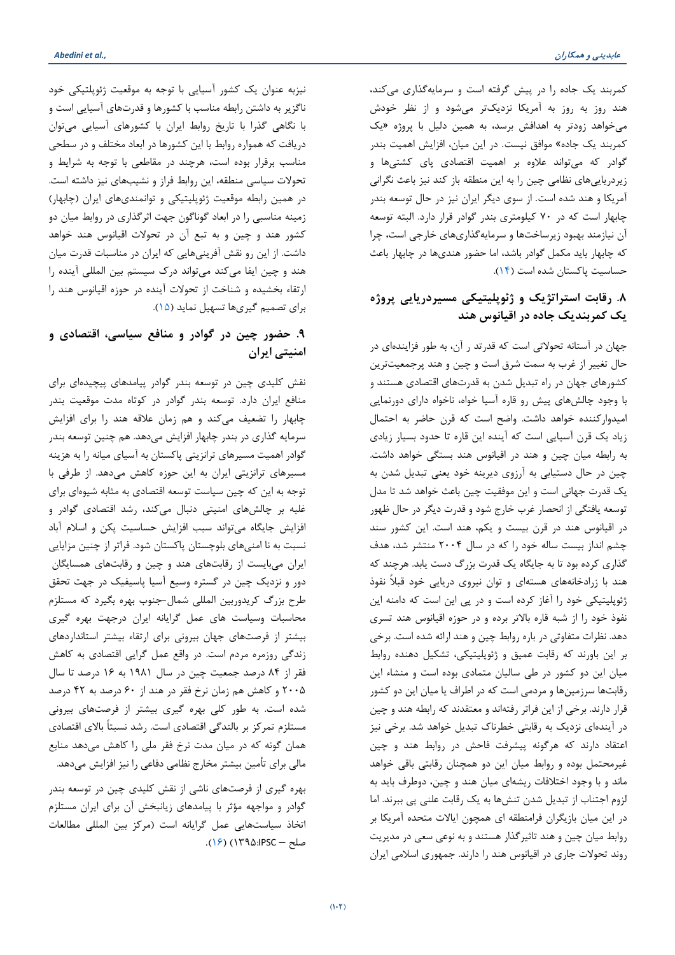کمربند یک جاده را در پیش گرفته است و سرمایهگذاري میکند، هند روز به روز به آمریکا نزدیکتر میشود و از نظر خودش میخواهد زودتر به اهدافش برسد، به همین دلیل با پروژه «یک کمربند یک جاده» موافق نیست. در این میان، افزایش اهمیت بندر گوادر که میتواند علاوه بر اهمیت اقتصادي پاي کشتیها و زیردریاییهاي نظامی چین را به این منطقه باز کند نیز باعث نگرانی آمریکا و هند شده است. از سوي دیگر ایران نیز در حال توسعه بندر چابهار است که در 70 کیلومتري بندر گوادر قرار دارد. البته توسعه آن نیازمند بهبود زیرساختها و سرمایهگذاريهاي خارجی است، چرا که چابهار باید مکمل گوادر باشد، اما حضور هنديها در چابهار باعث حساسیت پاکستان شده است [\(14\)](#page-14-13).

## **.8 رقابت استراتژیک و ژئوپلیتیکی مسیردریایی پروژه یک کمربندیک جاده در اقیانوس هند**

جهان در آستانه تحولاتی است که قدرتد ر آن، به طور فزایندهاي در حال تغییر از غرب به سمت شرق است و چین و هند پرجمعیتترین کشورهاي جهان در راه تبدیل شدن به قدرتهاي اقتصادي هستند و با وجود چالشهاي پیش رو قاره آسیا خواه، ناخواه داراي دورنمایی امیدوارکننده خواهد داشت. واضح است که قرن حاضر به احتمال زیاد یک قرن آسیایی است که آینده این قاره تا حدود بسیار زیادي به رابطه میان چین و هند در اقیانوس هند بستگی خواهد داشت. چین در حال دستیابی به آرزوي دیرینه خود یعنی تبدیل شدن به یک قدرت جهانی است و این موفقیت چین باعث خواهد شد تا مدل توسعه یافتگی از انحصار غرب خارج شود و قدرت دیگر در حال ظهور در اقیانوس هند در قرن بیست و یکم، هند است. این کشور سند چشم انداز بیست ساله خود را که در سال 2004 منتشر شد، هدف گذاري کرده بود تا به جایگاه یک قدرت بزرگ دست یابد. هرچند که هند با زرادخانههاي هستهاي و توان نیروي دریایی خود قبلاً نفوذ ژئوپلیتیکی خود را آغاز کرده است و در پی این است که دامنه این نفوذ خود را از شبه قاره بالاتر برده و در حوزه اقیانوس هند تسري دهد. نظرات متفاوتی در باره روابط چین و هند ارائه شده است. برخی بر این باورند که رقابت عمیق و ژئوپلیتیکی، تشکیل دهنده روابط میان این دو کشور در طی سالیان متمادي بوده است و منشاء این رقابتها سرزمینها و مردمی است که در اطراف یا میان این دو کشور قرار دارند. برخی از این فراتر رفتهاند و معتقدند که رابطه هند و چین در آیندهاي نزدیک به رقابتی خطرناك تبدیل خواهد شد. برخی نیز اعتقاد دارند که هرگونه پیشرفت فاحش در روابط هند و چین غیرمحتمل بوده و روابط میان این دو همچنان رقابتی باقی خواهد ماند و با وجود اختلافات ریشهاي میان هند و چین، دوطرف باید به لزوم اجتناب از تبدیل شدن تنشها به یک رقابت علنی پی ببرند. اما در این میان بازیگران فرامنطقه اي همچون ایالات متحده آمریکا بر روابط میان چین و هند تاثیرگذار هستند و به نوعی سعی در مدیریت روند تحولات جاري در اقیانوس هند را دارند. جمهوري اسلامی ایران

نیزبه عنوان یک کشور آسیایی با توجه به موقعیت ژئوپلتیکی خود ناگزیر به داشتن رابطه مناسب با کشورها و قدرتهاي آسیایی است و با نگاهی گذرا با تاریخ روابط ایران با کشورهاي آسیایی میتوان دریافت که همواره روابط با این کشورها در ابعاد مختلف و در سطحی مناسب برقرار بوده است، هرچند در مقاطعی با توجه به شرایط و تحولات سیاسی منطقه، این روابط فراز و نشیبهاي نیز داشته است. در همین رابطه موقعیت ژئوپلیتیکی و توانمنديهاي ایران (چابهار) زمینه مناسبی را در ابعاد گوناگون جهت اثرگذاري در روابط میان دو کشور هند و چین و به تبع آن در تحولات اقیانوس هند خواهد داشت. از این رو نقش آفرینیهایی که ایران در مناسبات قدرت میان هند و چین ایفا میکند میتواند درك سیستم بین المللی آینده را ارتقاء بخشیده و شناخت از تحولات آینده در حوزه اقیانوس هند را براي تصمیم گیريها تسهیل نماید [\(15\)](#page-14-14).

## **.9 حضور چین در گوادر و منافع سیاسی، اقتصادي و امنیتی ایران**

نقش کلیدي چین در توسعه بندر گوادر پیامدهاي پیچیدهاي براي منافع ایران دارد. توسعه بندر گوادر در کوتاه مدت موقعیت بندر چابهار را تضعیف میکند و هم زمان علاقه هند را براي افزایش سرمایه گذاري در بندر چابهار افزایش میدهد. هم چنین توسعه بندر گوادر اهمیت مسیرهاي ترانزیتی پاکستان به آسیاي میانه را به هزینه مسیرهاي ترانزیتی ایران به این حوزه کاهش میدهد. از طرفی با توجه به این که چین سیاست توسعه اقتصادي به مثابه شیوهاي براي غلبه بر چالشهاي امنیتی دنبال میکند، رشد اقتصادي گوادر و افزایش جایگاه میتواند سبب افزایش حساسیت پکن و اسلام آباد نسبت به نا امنیهاي بلوچستان پاکستان شود. فراتر از چنین مزایایی ایران میبایست از رقابتهاي هند و چین و رقابتهاي همسایگان دور و نزدیک چین در گستره وسیع آسیا پاسیفیک در جهت تحقق طرح بزرگ کریدوربین المللی شمال-جنوب بهره بگیرد که مستلزم محاسبات وسیاست هاي عمل گرایانه ایران درجهت بهره گیري بیشتر از فرصتهاي جهان بیرونی براي ارتقاء بیشتر استانداردهاي زندگی روزمره مردم است. در واقع عمل گرایی اقتصادي به کاهش فقر از 84 درصد جمعیت چین در سال 1981 به 16 درصد تا سال 2005 و کاهش هم زمان نرخ فقر در هند از 60 درصد به 42 درصد شده است. به طور کلی بهره گیري بیشتر از فرصتهاي بیرونی مستلزم تمرکز بر بالندگی اقتصادي است. رشد نسبتاً بالاي اقتصادي همان گونه که در میان مدت نرخ فقر ملی را کاهش میدهد منابع مالی براي تأمین بیشتر مخارج نظامی دفاعی را نیز افزایش میدهد.

بهره گیري از فرصتهاي ناشی از نقش کلیدي چین در توسعه بندر گوادر و مواجهه مؤثر با پیامدهاي زیانبخش آن براي ایران مستلزم اتخاذ سیاستهایی عمل گرایانه است (مرکز بین المللی مطالعات صلح – IPSC؛ ۱۳۹۵) (۱۶).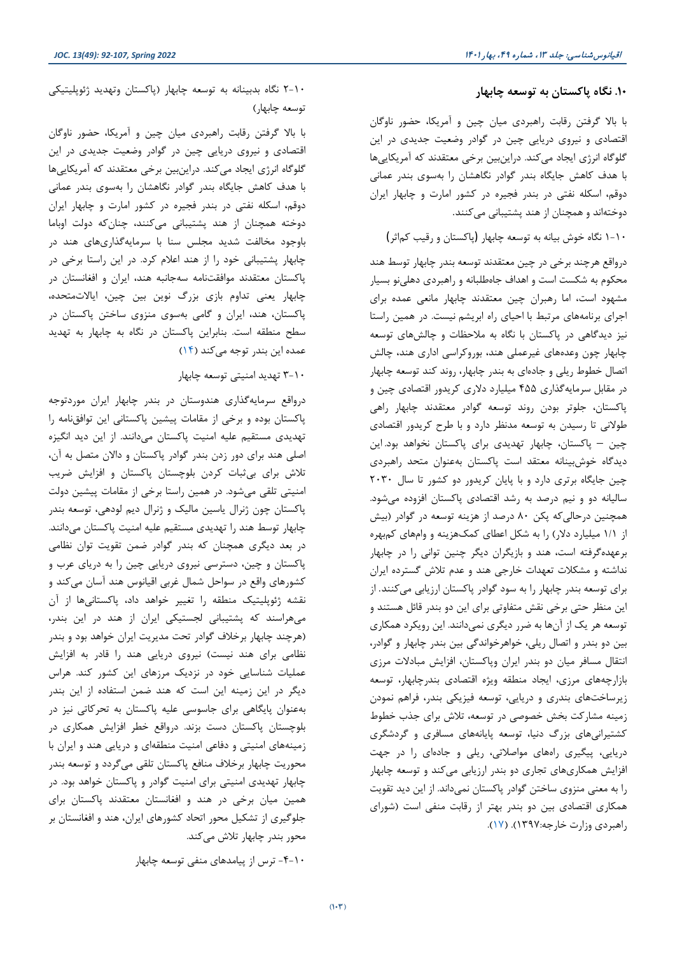#### **.10 نگاه پاکستان به توسعه چابهار**

با بالا گرفتن رقابت راهبردي میان چین و آمریکا، حضور ناوگان اقتصادي و نیروي دریایی چین در گوادر وضعیت جدیدي در این گلوگاه انرژي ایجاد میکند. دراینبین برخی معتقدند که آمریکاییها با هدف کاهش جایگاه بندر گوادر نگاهشان را بهسوي بندر عمانی دوقم، اسکله نفتی در بندر فجیره در کشور امارت و چابهار ایران دوختهاند و همچنان از هند پشتیبانی میکنند.

1-10 نگاه خوش بیانه به توسعه چابهار (پاکستان و رقیب کماثر)

درواقع هرچند برخی در چین معتقدند توسعه بندر چابهار توسط هند محکوم به شکست است و اهداف جاهطلبانه و راهبردي دهلینو بسیار مشهود است، اما رهبران چین معتقدند چابهار مانعی عمده براي اجراي برنامههاي مرتبط با [احیاي راه ابریشم](http://npps.ir/ArticlePreview.aspx?id=111864) نیست. در همین راستا نیز دیدگاهی در پاکستان با نگاه به ملاحظات و چالشهاي توسعه چابهار چون وعدههاي غیرعملی هند، بوروکراسی اداري هند، چالش اتصال خطوط ریلی و جادهاي به بندر چابهار، روند کند توسعه چابهار در مقابل سرمایهگذاري 455 میلیارد دلاري کریدور اقتصادي چین و پاکستان، جلوتر بودن روند توسعه گوادر معتقدند چابهار راهی طولانی تا رسیدن به توسعه مدنظر دارد و با طرح کریدور اقتصادي چین – پاکستان، چابهار تهدیدي براي پاکستان نخواهد بود. این دیدگاه خوشبینانه معتقد است پاکستان بهعنوان متحد راهبردي چین جایگاه برتري دارد و با پایان کریدور دو کشور تا سال 2030 سالیانه دو و نیم درصد به رشد اقتصادي پاکستان افزوده میشود. همچنین درحالیکه پکن 80 درصد از هزینه توسعه در گوادر (بیش از 1/1 میلیارد دلار) را به شکل اعطاي کمکهزینه و وامهاي کمبهره برعهدهگرفته است، هند و بازیگران دیگر چنین توانی را در چابهار نداشته و مشکلات تعهدات خارجی هند و عدم تلاش گسترده ایران براي توسعه بندر چابهار را به سود گوادر پاکستان ارزیابی میکنند. از این منظر حتی برخی نقش متفاوتی براي این دو بندر قائل هستند و توسعه هر یک از آنها به ضرر دیگري نمیدانند. این رویکرد همکاري بین دو بندر و اتصال ریلی، خواهرخواندگی بین بندر چابهار و گوادر، انتقال مسافر میان دو بندر ایران وپاکستان، افزایش مبادلات مرزي بازارچههاي مرزي، ایجاد منطقه ویژه اقتصادي بندرچابهار، توسعه زیرساختهاي بندري و دریایی، توسعه فیزیکی بندر، فراهم نمودن زمینه مشارکت بخش خصوصی در توسعه، تلاش براي جذب خطوط کشتیرانیهاي بزرگ دنیا، توسعه پایانههاي مسافري و گردشگري دریایی، پیگیري راههاي مواصلاتی، ریلی و جادهاي را در جهت افزایش همکاريهاي تجاري دو بندر ارزیابی میکند و توسعه چابهار را به معنی منزوي ساختن گوادر پاکستان نمیداند. از این دید تقویت همکاري اقتصادي بین دو بندر بهتر از رقابت منفی است (شوراي راهبردي وزارت خارجه1397:). [\(17\)](#page-15-1).

2-10 نگاه بدبینانه به توسعه چابهار (پاکستان وتهدید ژئوپلیتیکی توسعه چابهار)

با بالا گرفتن رقابت راهبردي میان چین و آمریکا، حضور ناوگان اقتصادي و نیروي دریایی چین در گوادر وضعیت جدیدي در این گلوگاه انرژي ایجاد میکند. دراینبین برخی معتقدند که آمریکاییها با هدف کاهش جایگاه بندر گوادر نگاهشان را بهسوي بندر عمانی دوقم، اسکله نفتی در بندر فجیره در کشور امارت و چابهار ایران دوخته همچنان از هند پشتیبانی میکنند، چنانکه دولت اوباما باوجود مخالفت شدید مجلس سنا با سرمایهگذاريهاي هند در چابهار پشتیبانی خود را از هند اعلام کرد. در این راستا برخی در پاکستان معتقدند موافقتنامه سهجانبه هند، ایران و افغانستان در چابهار یعنی تداوم بازي بزرگ نوین بین چین، ایالاتمتحده، پاکستان، هند، ایران و گامی بهسوي منزوي ساختن پاکستان در سطح منطقه است. بنابراین پاکستان در نگاه به چابهار به تهدید عمده این بندر توجه میکند [\(14\)](#page-14-13)

3-10 تهدید امنیتی توسعه چابهار

درواقع سرمایهگذاري هندوستان در بندر چابهار ایران موردتوجه پاکستان بوده و برخی از مقامات پیشین پاکستانی این توافقنامه را تهدیدي مستقیم علیه امنیت پاکستان میدانند. از این دید انگیزه اصلی هند براي دور زدن بندر گوادر پاکستان و دالان متصل به آن، تلاش براي بیثبات کردن بلوچستان پاکستان و افزایش ضریب امنیتی تلقی میشود. در همین راستا برخی از مقامات پیشین دولت پاکستان چون ژنرال یاسین مالیک و ژنرال دیم لودهی، توسعه بندر چابهار توسط هند را تهدیدي مستقیم علیه امنیت پاکستان میدانند. در بعد دیگري همچنان که بندر گوادر ضمن تقویت توان نظامی پاکستان و چین، دسترسی نیروي دریایی چین را به دریاي عرب و کشورهاي واقع در سواحل شمال غربی اقیانوس هند آسان میکند و نقشه ژئوپلیتیک منطقه را تغییر خواهد داد، پاکستانیها از آن میهراسند که پشتیبانی لجستیکی ایران از هند در این بندر، (هرچند چابهار برخلاف گوادر تحت مدیریت ایران خواهد بود و بندر نظامی براي هند نیست) نیروي دریایی هند را قادر به افزایش عملیات شناسایی خود در نزدیک مرزهاي این کشور کند. هراس دیگر در این زمینه این است که هند ضمن استفاده از این بندر بهعنوان پایگاهی براي جاسوسی علیه پاکستان به تحرکاتی نیز در بلوچستان پاکستان دست بزند. درواقع خطر افزایش همکاري در زمینههاي امنیتی و دفاعی امنیت منطقهاي و دریایی هند و ایران با محوریت چابهار برخلاف منافع پاکستان تلقی میگردد و توسعه بندر چابهار تهدیدي امنیتی براي امنیت گوادر و پاکستان خواهد بود. در همین میان برخی در هند و افغانستان معتقدند پاکستان براي جلوگیري از تشکیل محور اتحاد کشورهاي ایران، هند و افغانستان بر محور بندر چابهار تلاش میکند.

-4-10 ترس از پیامدهاي منفی توسعه چابهار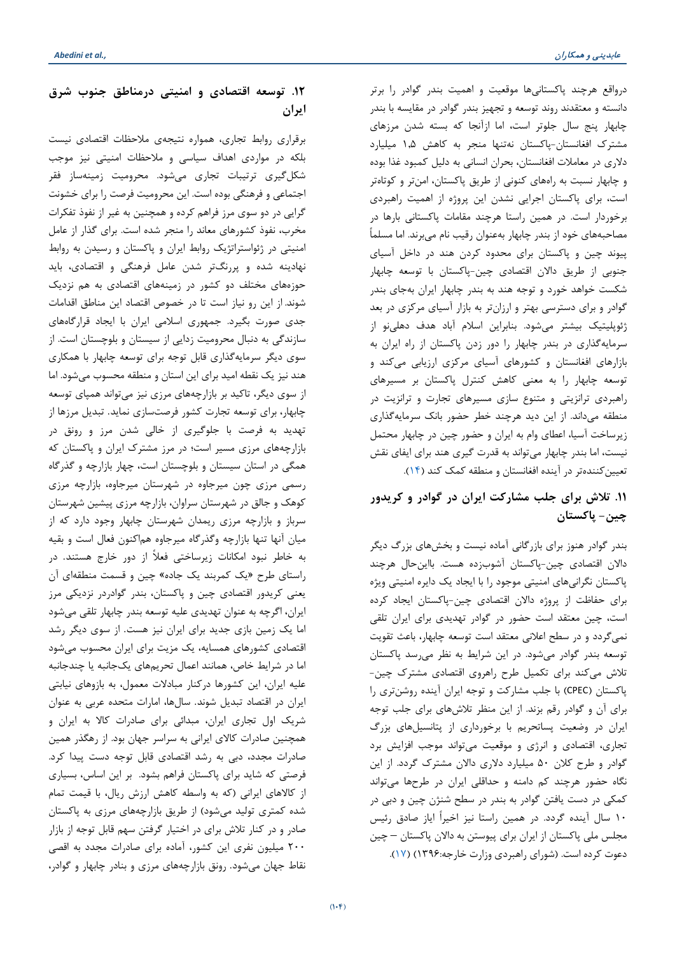درواقع هرچند پاکستانیها موقعیت و اهمیت بندر گوادر را برتر دانسته و معتقدند روند توسعه و تجهیز بندر گوادر در مقایسه با بندر چابهار پنج سال جلوتر است، اما ازآنجا که بسته شدن مرزهاي مشترك افغانستان-پاکستان نهتنها منجر به کاهش 1,5 میلیارد دلاري در معاملات افغانستان، بحران انسانی به دلیل کمبود غذا بوده و چابهار نسبت به راههاي کنونی از طریق پاکستان، امنتر و کوتاهتر است، براي پاکستان اجرایی نشدن این پروژه از اهمیت راهبردي برخوردار است. در همین راستا هرچند مقامات پاکستانی بارها در مصاحبههاي خود از بندر چابهار بهعنوان رقیب نام میبرند. اما مسلماً پیوند چین و پاکستان براي محدود کردن هند در داخل آسیاي جنوبی از طریق دالان اقتصادي چین-پاکستان با توسعه چابهار شکست خواهد خورد و توجه هند به بندر چابهار ایران بهجاي بندر گوادر و براي دسترسی بهتر و ارزانتر به بازار آسیاي مرکزي در بعد ژئوپلیتیک بیشتر میشود. بنابراین اسلام آباد هدف دهلینو از سرمایهگذاري در بندر چابهار را دور زدن پاکستان از راه ایران به بازارهاي افغانستان و کشورهاي آسیاي مرکزي ارزیابی میکند و توسعه چابهار را به معنی کاهش کنترل پاکستان بر مسیرهاي راهبردي ترانزیتی و متنوع سازي مسیرهاي تجارت و ترانزیت در منطقه میداند. از این دید هرچند خطر حضور بانک سرمایهگذاري زیرساخت آسیا، اعطاي وام به ایران و حضور چین در چابهار محتمل نیست، اما بندر چابهار میتواند به قدرت گیري هند براي ایفاي نقش تعیینکنندهتر در آینده افغانستان و منطقه کمک کند [\(14\)](#page-14-13).

## **.11 تلاش براي جلب مشارکت ایران در گوادر و کریدور چین- پاکستان**

بندر گوادر هنوز براي بازرگانی آماده نیست و بخشهاي بزرگ دیگر دالان اقتصادي چین-پاکستان آشوبزده هست. بااینحال هرچند پاکستان نگرانیهاي امنیتی موجود را با ایجاد یک دایره امنیتی ویژه براي حفاظت از پروژه دالان اقتصادي چین-پاکستان ایجاد کرده است، چین معتقد است حضور در گوادر تهدیدي براي ایران تلقی نمیگردد و در سطح اعلانی معتقد است توسعه چابهار، باعث تقویت توسعه بندر گوادر میشود. در این شرایط به نظر میرسد پاکستان تلاش میکند براي تکمیل طرح راهروي اقتصادي مشترك چین- پاکستان (CPEC (با جلب مشارکت و توجه ایران آینده روشنتري را براي آن و گوادر رقم بزند. از این منظر تلاشهاي براي جلب توجه ایران در وضعیت پساتحریم با برخورداري از پتانسیلهاي بزرگ تجاري، اقتصادي و انرژي و موقعیت میتواند موجب افزایش برد گوادر و طرح کلان 50 میلیارد دلاري دالان مشترك گردد. از این نگاه حضور هرچند کم دامنه و حداقلی ایران در طرحها میتواند کمکی در دست یافتن گوادر به بندر در سطح شنژن چین و دبی در 10 سال آینده گردد. در همین راستا نیز اخیراً ایاز صادق رئیس مجلس ملی پاکستان از ایران براي پیوستن به دالان پاکستان – چین دعوت کرده است. (شوراي راهبردي وزارت خارجه1396:) [\(17\)](#page-15-1).

## **.12 توسعه اقتصادي و امنیتی درمناطق جنوب شرق ایران**

برقراري روابط تجاري، همواره نتیجهي ملاحظات اقتصادي نیست بلکه در مواردي اهداف سیاسی و ملاحظات امنیتی نیز موجب شکلگیري ترتیبات تجاري میشود. محرومیت زمینهساز فقر اجتماعی و فرهنگی بوده است. این محرومیت فرصت را براي خشونت گرایی در دو سوي مرز فراهم کرده و همچنین به غیر از نفوذ تفکرات مخرب، نفوذ کشورهاي معاند را منجر شده است. براي گذار از عامل امنیتی در ژئواستراتژیک روابط ایران و پاکستان و رسیدن به روابط نهادینه شده و پررنگتر شدن عامل فرهنگی و اقتصادي، باید حوزههاي مختلف دو کشور در زمینههاي اقتصادي به هم نزدیک شوند. از این رو نیاز است تا در خصوص اقتصاد این مناطق اقدامات جدي صورت بگیرد. جمهوري اسلامی ایران با ایجاد قرارگاههاي سازندگی به دنبال محرومیت زدایی از سیستان و بلوچستان است. از سوي دیگر سرمایهگذاري قابل توجه براي توسعه چابهار با همکاري هند نیز یک نقطه امید براي این استان و منطقه محسوب میشود. اما از سوي دیگر، تاکید بر بازارچههاي مرزي نیز میتواند همپاي توسعه چابهار، براي توسعه تجارت کشور فرصتسازي نماید. تبدیل مرزها از تهدید به فرصت با جلوگیري از خالی شدن مرز و رونق در بازارچههاي مرزي مسیر است؛ در مرز مشترك ایران و پاکستان که همگی در استان سیستان و بلوچستان است، چهار بازارچه و گذرگاه رسمی مرزي چون میرجاوه در شهرستان میرجاوه، بازارچه مرزي کوهک و جالق در شهرستان سراوان، بازارچه مرزي پیشین شهرستان سرباز و بازارچه مرزي ریمدان شهرستان چابهار وجود دارد که از میان آنها تنها بازارچه وگذرگاه میرجاوه هماکنون فعال است و بقیه به خاطر نبود امکانات زیرساختی فعلاً از دور خارج هستند. در راستاي طرح «یک کمربند یک جاده» چین و قسمت منطقهاي آن یعنی کریدور اقتصادي چین و پاکستان، بندر گوادردر نزدیکی مرز ایران، اگرچه به عنوان تهدیدي علیه توسعه بندر چابهار تلقی میشود اما یک زمین بازي جدید براي ایران نیز هست. از سوي دیگر رشد اقتصادي کشورهاي همسایه، یک مزیت براي ایران محسوب میشود اما در شرایط خاص، همانند اعمال تحریمهاي یکجانبه یا چندجانبه علیه ایران، این کشورها درکنار مبادلات معمول، به بازوهاي نیابتی ایران در اقتصاد تبدیل شوند. سالها، امارات متحده عربی به عنوان شریک اول تجاري ایران، مبدائی براي صادرات کالا به ایران و همچنین صادرات کالاي ایرانی به سراسر جهان بود. از رهگذر همین صادرات مجدد، دبی به رشد اقتصادي قابل توجه دست پیدا کرد. فرصتی که شاید براي پاکستان فراهم بشود. بر این اساس، بسیاري از کالاهاي ایرانی (که به واسطه کاهش ارزش ریال، با قیمت تمام شده کمتري تولید میشود) از طریق بازارچههاي مرزي به پاکستان صادر و در کنار تلاش براي در اختیار گرفتن سهم قابل توجه از بازار 200 میلیون نفري این کشور، آماده براي صادرات مجدد به اقصی نقاط جهان میشود. رونق بازارچههاي مرزي و بنادر چابهار و گوادر،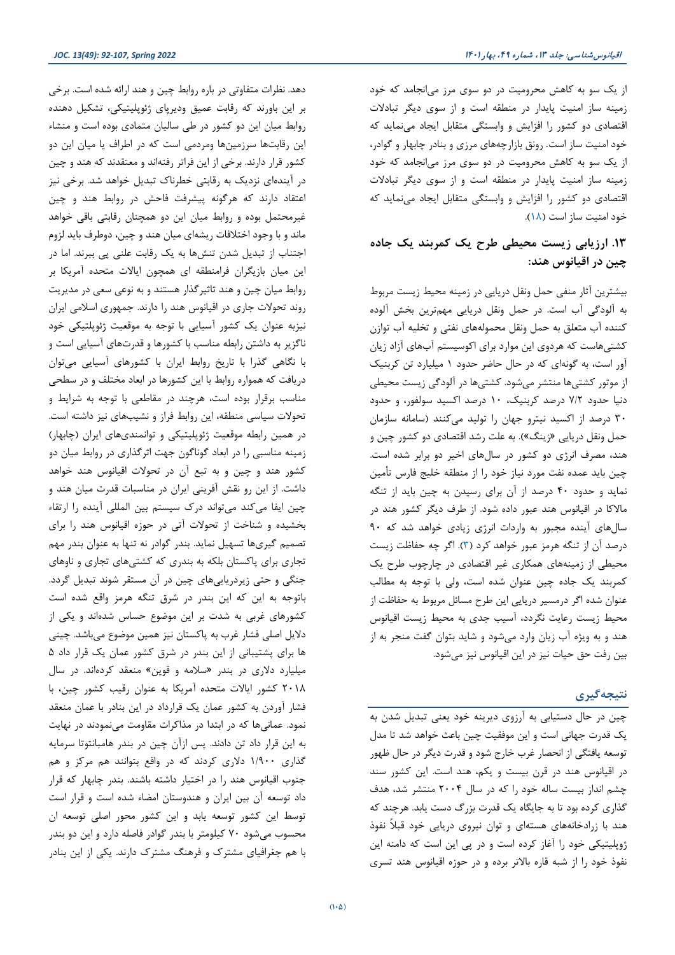از یک سو به کاهش محرومیت در دو سوي مرز میانجامد که خود زمینه ساز امنیت پایدار در منطقه است و از سوي دیگر تبادلات اقتصادي دو کشور را افزایش و وابستگی متقابل ایجاد مینماید که خود امنیت ساز است. رونق بازارچههاي مرزي و بنادر چابهار و گوادر، از یک سو به کاهش محرومیت در دو سوي مرز میانجامد که خود زمینه ساز امنیت پایدار در منطقه است و از سوي دیگر تبادلات اقتصادي دو کشور را افزایش و وابستگی متقابل ایجاد مینماید که خود امنیت ساز است [\(18\)](#page-15-2).

## **.13 ارزیابی زیست محیطی طرح یک کمربند یک جاده چین در اقیانوس هند:**

بیشترین آثار منفی حمل ونقل دریایی در زمینه محیط زیست مربوط به آلودگی آب است. در حمل ونقل دریایی مهمترین بخش آلوده کننده آب متعلق به حمل ونقل محمولههاي نفتی و تخلیه آب توازن کشتیهاست که هردوي این موارد براي اکوسیستم آبهاي آزاد زیان آور است، به گونهاي که در حال حاضر حدود 1 میلیارد تن کربنیک از موتور کشتیها منتشر میشود. کشتیها در آلودگی زیست محیطی دنیا حدود 7/2 درصد کربنیک، 10 درصد اکسید سولفور، و حدود 30 درصد از اکسید نیترو جهان را تولید میکنند (سامانه سازمان حمل ونقل دریایی «زینگ»). به علت رشد اقتصادي دو کشور چین و هند، مصرف انرژي دو کشور در سالهاي اخیر دو برابر شده است. چین باید عمده نفت مورد نیاز خود را از منطقه خلیج فارس تأمین نماید و حدود 40 درصد از آن براي رسیدن به چین باید از تنگه مالاکا در اقیانوس هند عبور داده شود. از طرف دیگر کشور هند در سالهاي آینده مجبور به واردات انرژي زیادي خواهد شد که 90 درصد آن از تنگه هرمز عبور خواهد کرد [\(3\)](#page-14-2). اگر چه حفاظت زیست محیطی از زمینههاي همکاري غیر اقتصادي در چارچوب طرح یک کمربند یک جاده چین عنوان شده است، ولی با توجه به مطالب عنوان شده اگر درمسیر دریایی این طرح مسائل مربوط به حفاظت از محیط زیست رعایت نگردد، آسیب جدي به محیط زیست اقیانوس هند و به ویژه آب زیان وارد میشود و شاید بتوان گفت منجر به از بین رفت حق حیات نیز در این اقیانوس نیز میشود.

#### **نتیجهگیري**

چین در حال دستیابی به آرزوي دیرینه خود یعنی تبدیل شدن به یک قدرت جهانی است و این موفقیت چین باعث خواهد شد تا مدل توسعه یافتگی از انحصار غرب خارج شود و قدرت دیگر در حال ظهور در اقیانوس هند در قرن بیست و یکم، هند است. این کشور سند چشم انداز بیست ساله خود را که در سال 2004 منتشر شد، هدف گذاري کرده بود تا به جایگاه یک قدرت بزرگ دست یابد. هرچند که هند با زرادخانههاي هستهاي و توان نیروي دریایی خود قبلاً نفوذ ژوپلیتیکی خود را آغاز کرده است و در پی این است که دامنه این نفوذ خود را از شبه قاره بالاتر برده و در حوزه اقیانوس هند تسري

دهد. نظرات متفاوتی در باره روابط چین و هند ارائه شده است. برخی بر این باورند که رقابت عمیق ودیرپاي ژئوپلیتیکی، تشکیل دهنده روابط میان این دو کشور در طی سالیان متمادي بوده است و منشاء این رقابتها سرزمینها ومردمی است که در اطراف یا میان این دو کشور قرار دارند. برخی از این فراتر رفتهاند و معتقدند که هند و چین در آیندهاي نزدیک به رقابتی خطرناك تبدیل خواهد شد. برخی نیز اعتقاد دارند که هرگونه پیشرفت فاحش در روابط هند و چین غیرمحتمل بوده و روابط میان این دو همچنان رقابتی باقی خواهد ماند و با وجود اختلافات ریشهاي میان هند و چین، دوطرف باید لزوم اجتناب از تبدیل شدن تنشها به یک رقابت علنی پی ببرند. اما در این میان بازیگران فرامنطقه اي همچون ایالات متحده آمریکا بر روابط میان چین و هند تاثیرگذار هستند و به نوعی سعی در مدیریت روند تحولات جاري در اقیانوس هند را دارند. جمهوري اسلامی ایران نیزبه عنوان یک کشور آسیایی با توجه به موقعیت ژئوپلتیکی خود ناگزیر به داشتن رابطه مناسب با کشورها و قدرتهاي آسیایی است و با نگاهی گذرا با تاریخ روابط ایران با کشورهاي آسیایی میتوان دریافت که همواره روابط با این کشورها در ابعاد مختلف و در سطحی مناسب برقرار بوده است، هرچند در مقاطعی با توجه به شرایط و تحولات سیاسی منطقه، این روابط فراز و نشیبهاي نیز داشته است. در همین رابطه موقعیت ژئوپلیتیکی و توانمنديهاي ایران (چابهار) زمینه مناسبی را در ابعاد گوناگون جهت اثرگذاري در روابط میان دو کشور هند و چین و به تبع آن در تحولات اقیانوس هند خواهد داشت. از این رو نقش آفرینی ایران در مناسبات قدرت میان هند و چین ایفا میکند میتواند درك سیستم بین المللی آینده را ارتقاء بخشیده و شناخت از تحولات آتی در حوزه اقیانوس هند را براي تصمیم گیريها تسهیل نماید. بندر گوادر نه تنها به عنوان بندر مهم تجاري براي پاکستان بلکه به بندري که کشتیهاي تجاري و ناوهاي جنگی و حتی زیردریاییهاي چین در آن مستقر شوند تبدیل گردد. باتوجه به این که این بندر در شرق تنگه هرمز واقع شده است کشورهاي غربی به شدت بر این موضوع حساس شدهاند و یکی از دلایل اصلی فشار غرب به پاکستان نیز همین موضوع میباشد. چینی ها براي پشتیبانی از این بندر در شرق کشور عمان یک قرار داد 5 میلیارد دلاري در بندر «سلامه و قوین» منعقد کردهاند. در سال 2018 کشور ایالات متحده آمریکا به عنوان رقیب کشور چین، با فشار آوردن به کشور عمان یک قرارداد در این بنادر با عمان منعقد نمود. عمانیها که در ابتدا در مذاکرات مقاومت مینمودند در نهایت به این قرار داد تن دادند. پس ازآن چین در بندر هامبانتوتا سرمایه گذاري 1/900 دلاري کردند که در واقع بتوانند هم مرکز و هم جنوب اقیانوس هند را در اختیار داشته باشند. بندر چابهار که قرار داد توسعه آن بین ایران و هندوستان امضاء شده است و قرار است توسط این کشور توسعه یابد و این کشور محور اصلی توسعه ان محسوب میشود 70 کیلومتر با بندر گوادر فاصله دارد و این دو بندر با هم جغرافیاي مشترك و فرهنگ مشترك دارند. یکی از این بنادر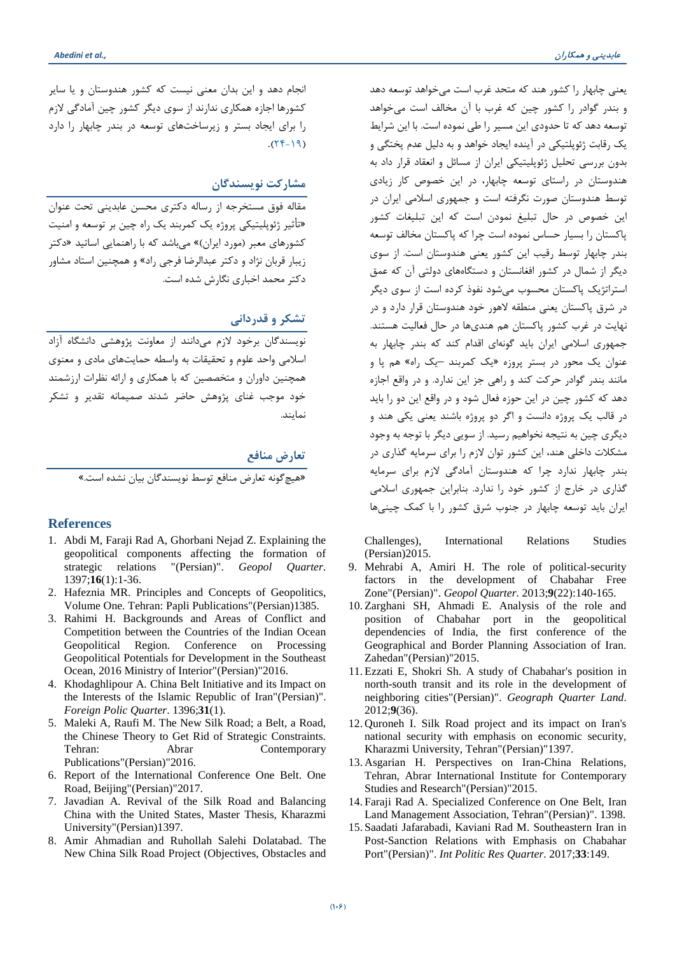یعنی چابهار را کشور هند که متحد غرب است میخواهد توسعه دهد و بندر گوادر را کشور چین که غرب با آن مخالف است میخواهد توسعه دهد که تا حدودي این مسیر را طی نموده است. با این شرایط یک رقابت ژئوپلتیکی در آینده ایجاد خواهد و به دلیل عدم پختگی و بدون بررسی تحلیل ژئوپلیتیکی ایران از مسائل و انعقاد قرار داد به هندوستان در راستاي توسعه چابهار، در این خصوص کار زیادي توسط هندوستان صورت نگرفته است و جمهوري اسلامی ایران در این خصوص در حال تبلیغ نمودن است که این تبلیغات کشور پاکستان را بسیار حساس نموده است چرا که پاکستان مخالف توسعه بندر چابهار توسط رقیب این کشور یعنی هندوستان است. از سوي دیگر از شمال در کشور افغانستان و دستگاههاي دولتی آن که عمق استراتژیک پاکستان محسوب میشود نفوذ کرده است از سوي دیگر در شرق پاکستان یعنی منطقه لاهور خود هندوستان قرار دارد و در نهایت در غرب کشور پاکستان هم هنديها در حال فعالیت هستند. جمهوري اسلامی ایران باید گونهاي اقدام کند که بندر چابهار به عنوان یک محور در بستر پروزه «یک کمربند –یک راه» هم پا و مانند بندر گوادر حرکت کند و راهی جز این ندارد. و در واقع اجازه دهد که کشور چین در این حوزه فعال شود و در واقع این دو را باید در قالب یک پروژه دانست و اگر دو پروژه باشند یعنی یکی هند و دیگري چین به نتیجه نخواهیم رسید. از سویی دیگر با توجه به وجود مشکلات داخلی هند، این کشور توان لازم را براي سرمایه گذاري در بندر چابهار ندارد چرا که هندوستان آمادگی لازم براي سرمایه گذاري در خارج از کشور خود را ندارد. بنابراین جمهوري اسلامی ایران باید توسعه چابهار در جنوب شرق کشور را با کمک چینیها

Challenges), International Relations Studies (Persian)2015.

- <span id="page-14-8"></span>9. Mehrabi A, Amiri H. The role of political-security factors in the development of Chabahar Free Zone"(Persian)". *Geopol Quarter*. 2013;**9**(22):140-165.
- <span id="page-14-9"></span>10. Zarghani SH, Ahmadi E. Analysis of the role and position of Chabahar port in the geopolitical dependencies of India, the first conference of the Geographical and Border Planning Association of Iran. Zahedan"(Persian)"2015.
- <span id="page-14-10"></span>11. Ezzati E, Shokri Sh. A study of Chabahar's position in north-south transit and its role in the development of neighboring cities"(Persian)". *Geograph Quarter Land*. 2012;**9**(36).
- <span id="page-14-11"></span>12. Quroneh I. Silk Road project and its impact on Iran's national security with emphasis on economic security, Kharazmi University, Tehran"(Persian)"1397.
- <span id="page-14-12"></span>13. Asgarian H. Perspectives on Iran-China Relations, Tehran, Abrar International Institute for Contemporary Studies and Research"(Persian)"2015.
- <span id="page-14-13"></span>14. Faraji Rad A. Specialized Conference on One Belt, Iran Land Management Association, Tehran"(Persian)". 1398.
- <span id="page-14-14"></span>15. Saadati Jafarabadi, Kaviani Rad M. Southeastern Iran in Post-Sanction Relations with Emphasis on Chabahar Port"(Persian)". *Int Politic Res Quarter*. 2017;**33**:149.

انجام دهد و این بدان معنی نیست که کشور هندوستان و یا سایر کشورها اجازه همکاري ندارند از سوي دیگر کشور چین آمادگی لازم را براي ایجاد بستر و زیرساختهاي توسعه در بندر چابهار را دارد  $.$ (74-19)

#### **مشارکت نویسندگان**

مقاله فوق مستخرجه از رساله دکتري محسن عابدینی تحت عنوان «تأثیر ژئوپلیتیکی پروژه یک کمربند یک راه چین بر توسعه و امنیت کشورهاي معبر (مورد ایران)» میباشد که با راهنمایی اساتید «دکتر زیبار قربان نژاد و دکتر عبدالرضا فرجی راد» و همچنین استاد مشاور دکتر محمد اخباري نگارش شده است.

#### **تشکر و قدردانی**

نویسندگان برخود لازم میدانند از معاونت پژوهشی دانشگاه آزاد اسلامی واحد علوم و تحقیقات به واسطه حمایتهاي مادي و معنوي همچنین داوران و متخصصین که با همکاري و ارائه نظرات ارزشمند خود موجب غناي پژوهش حاضر شدند صمیمانه تقدیر و تشکر نمایند.

#### **تعارض منافع**

«هیچگونه تعارض منافع توسط نویسندگان بیان نشده است.»

#### **References**

- <span id="page-14-0"></span>1. Abdi M, Faraji Rad A, Ghorbani Nejad Z. Explaining the geopolitical components affecting the formation of strategic relations "(Persian)". *Geopol Quarter*. 1397;**16**(1):1-36.
- <span id="page-14-1"></span>2. Hafeznia MR. Principles and Concepts of Geopolitics, Volume One. Tehran: Papli Publications"(Persian)1385.
- <span id="page-14-2"></span>3. Rahimi H. Backgrounds and Areas of Conflict and Competition between the Countries of the Indian Ocean Geopolitical Region. Conference on Processing Geopolitical Potentials for Development in the Southeast Ocean, 2016 Ministry of Interior"(Persian)"2016.
- <span id="page-14-3"></span>4. Khodaghlipour A. China Belt Initiative and its Impact on the Interests of the Islamic Republic of Iran"(Persian)". *Foreign Polic Quarter*. 1396;**31**(1).
- <span id="page-14-4"></span>5. Maleki A, Raufi M. The New Silk Road; a Belt, a Road, the Chinese Theory to Get Rid of Strategic Constraints. Tehran: Abrar Contemporary Publications"(Persian)"2016.
- <span id="page-14-5"></span>6. Report of the International Conference One Belt. One Road, Beijing"(Persian)"2017.
- <span id="page-14-6"></span>7. Javadian A. Revival of the Silk Road and Balancing China with the United States, Master Thesis, Kharazmi University"(Persian)1397.
- <span id="page-14-7"></span>8. Amir Ahmadian and Ruhollah Salehi Dolatabad. The New China Silk Road Project (Objectives, Obstacles and